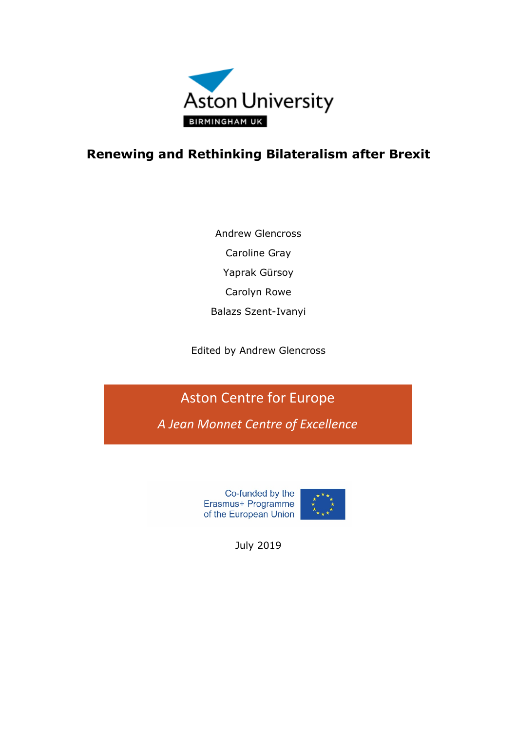

# **Renewing and Rethinking Bilateralism after Brexit**

Andrew Glencross Caroline Gray Yaprak Gürsoy Carolyn Rowe Balazs Szent-Ivanyi

Edited by Andrew Glencross

Aston Centre for Europe

*A Jean Monnet Centre of Excellence*

Co-funded by the Erasmus+ Programme of the European Union



July 2019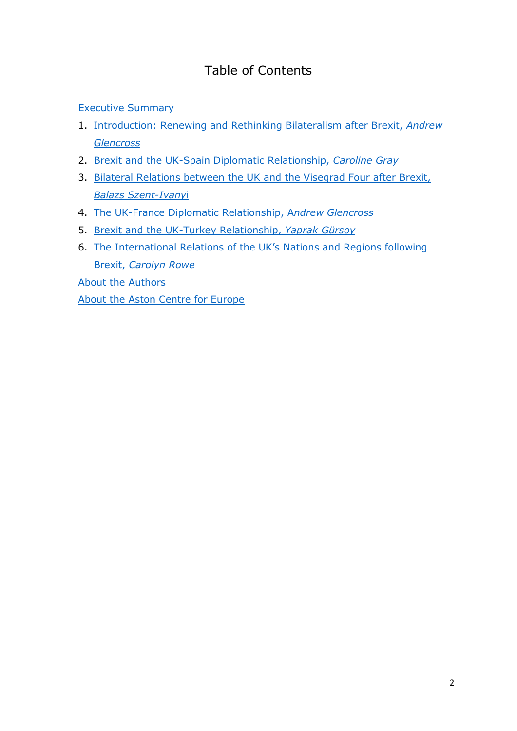# Table of Contents

[Executive Summary](#page-2-0)

- 1. [Introduction: Renewing and Rethinking Bilateralism after Brexit,](#page-4-0) *Andrew [Glencross](#page-4-0)*
- 2. [Brexit and the UK-Spain Diplomatic Relationship,](#page-7-0) *Caroline Gray*
- 3. [Bilateral Relations between the UK and the Visegrad Four after Brexit,](#page-15-0)  *Balazs [Szent-Ivany](#page-15-0)*i
- 4. [The UK-France Diplomatic Relationship, A](#page-21-0)*ndrew Glencross*
- 5. [Brexit and the UK-Turkey Relationship,](#page-27-0) *Yaprak Gürsoy*
- 6. [The International Relations of the UK's](#page-33-0) Nations and Regions following Brexit, *[Carolyn Rowe](#page-33-0)*

[About the Authors](#page-39-0)

[About the Aston Centre for Europe](#page-41-0)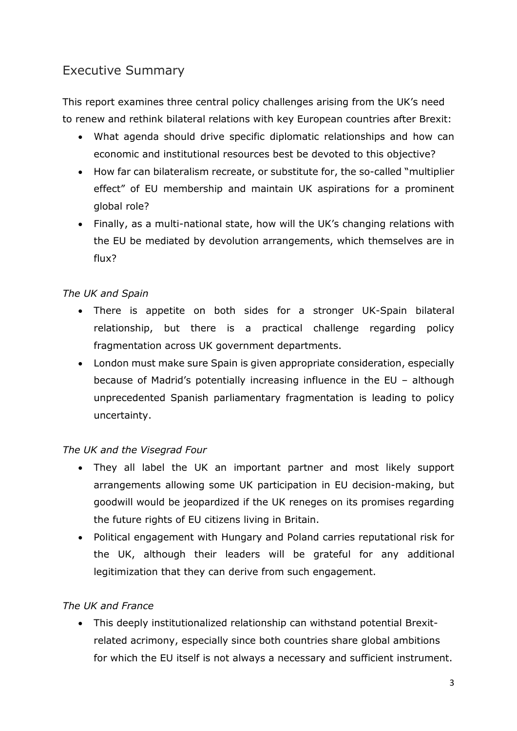# <span id="page-2-0"></span>Executive Summary

This report examines three central policy challenges arising from the UK's need to renew and rethink bilateral relations with key European countries after Brexit:

- What agenda should drive specific diplomatic relationships and how can economic and institutional resources best be devoted to this objective?
- How far can bilateralism recreate, or substitute for, the so-called "multiplier effect" of EU membership and maintain UK aspirations for a prominent global role?
- Finally, as a multi-national state, how will the UK's changing relations with the EU be mediated by devolution arrangements, which themselves are in flux?

### *The UK and Spain*

- There is appetite on both sides for a stronger UK-Spain bilateral relationship, but there is a practical challenge regarding policy fragmentation across UK government departments.
- London must make sure Spain is given appropriate consideration, especially because of Madrid's potentially increasing influence in the EU – although unprecedented Spanish parliamentary fragmentation is leading to policy uncertainty.

### *The UK and the Visegrad Four*

- They all label the UK an important partner and most likely support arrangements allowing some UK participation in EU decision-making, but goodwill would be jeopardized if the UK reneges on its promises regarding the future rights of EU citizens living in Britain.
- Political engagement with Hungary and Poland carries reputational risk for the UK, although their leaders will be grateful for any additional legitimization that they can derive from such engagement.

### *The UK and France*

• This deeply institutionalized relationship can withstand potential Brexitrelated acrimony, especially since both countries share global ambitions for which the EU itself is not always a necessary and sufficient instrument.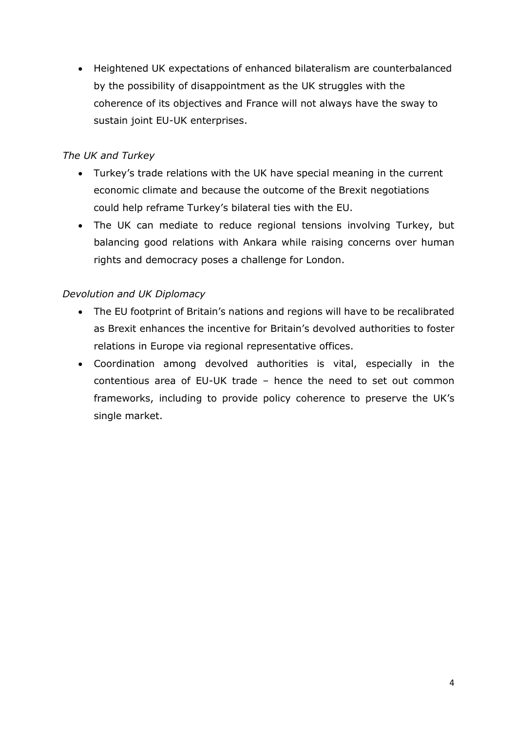• Heightened UK expectations of enhanced bilateralism are counterbalanced by the possibility of disappointment as the UK struggles with the coherence of its objectives and France will not always have the sway to sustain joint EU-UK enterprises.

### *The UK and Turkey*

- Turkey's trade relations with the UK have special meaning in the current economic climate and because the outcome of the Brexit negotiations could help reframe Turkey's bilateral ties with the EU.
- The UK can mediate to reduce regional tensions involving Turkey, but balancing good relations with Ankara while raising concerns over human rights and democracy poses a challenge for London.

### *Devolution and UK Diplomacy*

- The EU footprint of Britain's nations and regions will have to be recalibrated as Brexit enhances the incentive for Britain's devolved authorities to foster relations in Europe via regional representative offices.
- Coordination among devolved authorities is vital, especially in the contentious area of EU-UK trade – hence the need to set out common frameworks, including to provide policy coherence to preserve the UK's single market.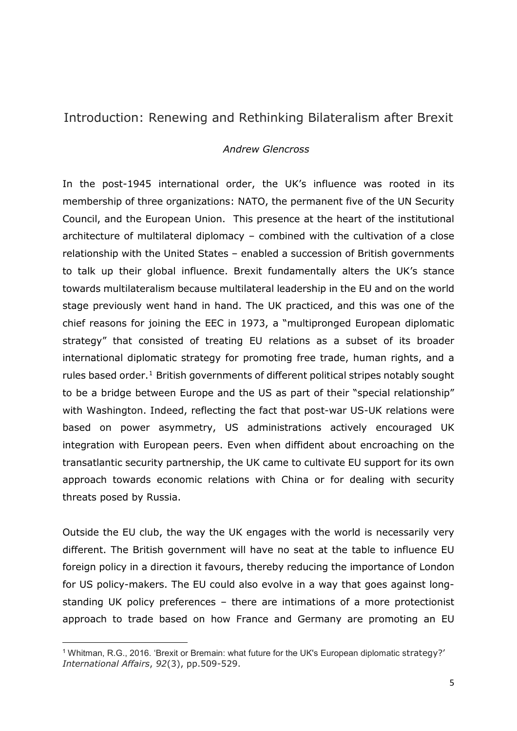## <span id="page-4-0"></span>Introduction: Renewing and Rethinking Bilateralism after Brexit

#### *Andrew Glencross*

In the post-1945 international order, the UK's influence was rooted in its membership of three organizations: NATO, the permanent five of the UN Security Council, and the European Union. This presence at the heart of the institutional architecture of multilateral diplomacy – combined with the cultivation of a close relationship with the United States – enabled a succession of British governments to talk up their global influence. Brexit fundamentally alters the UK's stance towards multilateralism because multilateral leadership in the EU and on the world stage previously went hand in hand. The UK practiced, and this was one of the chief reasons for joining the EEC in 1973, a "multipronged European diplomatic strategy" that consisted of treating EU relations as a subset of its broader international diplomatic strategy for promoting free trade, human rights, and a rules based order.<sup>1</sup> British governments of different political stripes notably sought to be a bridge between Europe and the US as part of their "special relationship" with Washington. Indeed, reflecting the fact that post-war US-UK relations were based on power asymmetry, US administrations actively encouraged UK integration with European peers. Even when diffident about encroaching on the transatlantic security partnership, the UK came to cultivate EU support for its own approach towards economic relations with China or for dealing with security threats posed by Russia.

Outside the EU club, the way the UK engages with the world is necessarily very different. The British government will have no seat at the table to influence EU foreign policy in a direction it favours, thereby reducing the importance of London for US policy-makers. The EU could also evolve in a way that goes against longstanding UK policy preferences – there are intimations of a more protectionist approach to trade based on how France and Germany are promoting an EU

<u>.</u>

<span id="page-4-1"></span><sup>1</sup> Whitman, R.G., 2016. 'Brexit or Bremain: what future for the UK's European diplomatic strategy?' *International Affairs*, *92*(3), pp.509-529.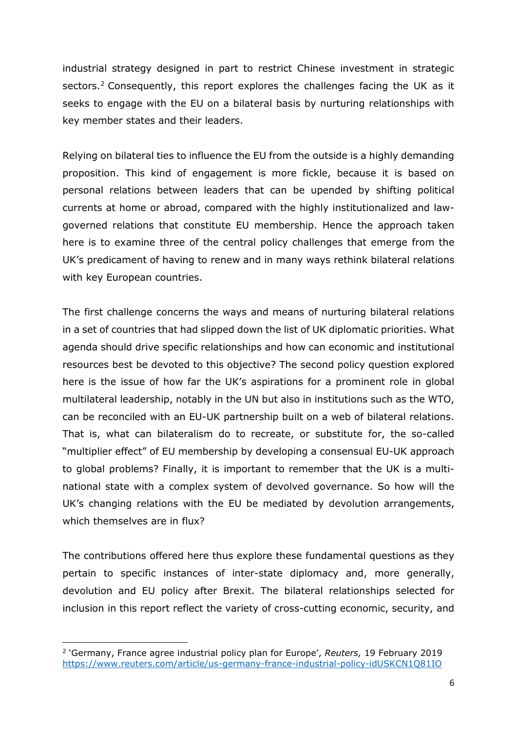industrial strategy designed in part to restrict Chinese investment in strategic sectors.<sup>[2](#page-5-0)</sup> Consequently, this report explores the challenges facing the UK as it seeks to engage with the EU on a bilateral basis by nurturing relationships with key member states and their leaders.

Relying on bilateral ties to influence the EU from the outside is a highly demanding proposition. This kind of engagement is more fickle, because it is based on personal relations between leaders that can be upended by shifting political currents at home or abroad, compared with the highly institutionalized and lawgoverned relations that constitute EU membership. Hence the approach taken here is to examine three of the central policy challenges that emerge from the UK's predicament of having to renew and in many ways rethink bilateral relations with key European countries.

The first challenge concerns the ways and means of nurturing bilateral relations in a set of countries that had slipped down the list of UK diplomatic priorities. What agenda should drive specific relationships and how can economic and institutional resources best be devoted to this objective? The second policy question explored here is the issue of how far the UK's aspirations for a prominent role in global multilateral leadership, notably in the UN but also in institutions such as the WTO, can be reconciled with an EU-UK partnership built on a web of bilateral relations. That is, what can bilateralism do to recreate, or substitute for, the so-called "multiplier effect" of EU membership by developing a consensual EU-UK approach to global problems? Finally, it is important to remember that the UK is a multinational state with a complex system of devolved governance. So how will the UK's changing relations with the EU be mediated by devolution arrangements, which themselves are in flux?

The contributions offered here thus explore these fundamental questions as they pertain to specific instances of inter-state diplomacy and, more generally, devolution and EU policy after Brexit. The bilateral relationships selected for inclusion in this report reflect the variety of cross-cutting economic, security, and

<u>.</u>

<span id="page-5-0"></span><sup>2</sup> 'Germany, France agree industrial policy plan for Europe', *Reuters,* 19 February 2019 <https://www.reuters.com/article/us-germany-france-industrial-policy-idUSKCN1Q81IO>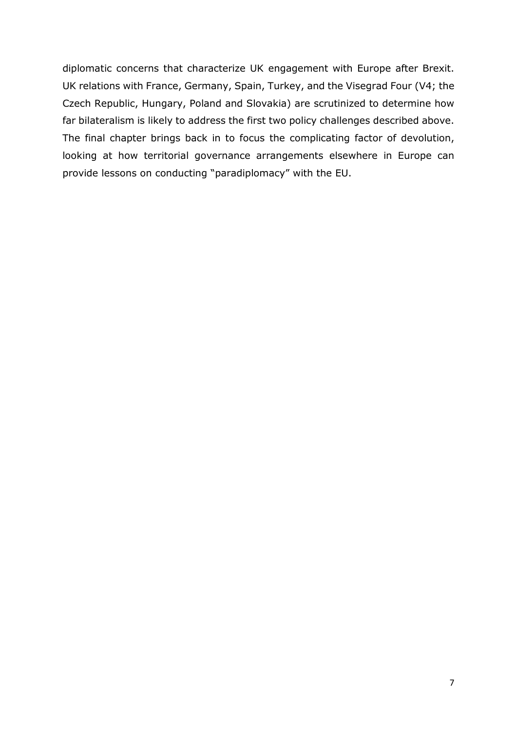diplomatic concerns that characterize UK engagement with Europe after Brexit. UK relations with France, Germany, Spain, Turkey, and the Visegrad Four (V4; the Czech Republic, Hungary, Poland and Slovakia) are scrutinized to determine how far bilateralism is likely to address the first two policy challenges described above. The final chapter brings back in to focus the complicating factor of devolution, looking at how territorial governance arrangements elsewhere in Europe can provide lessons on conducting "paradiplomacy" with the EU.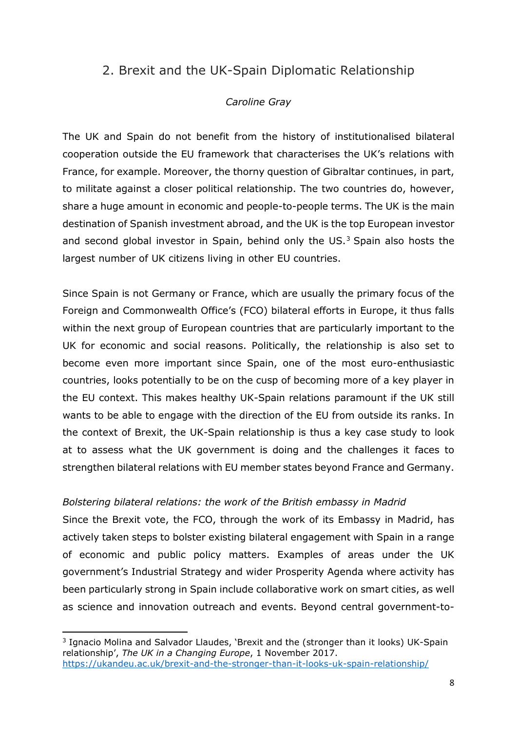## <span id="page-7-0"></span>2. Brexit and the UK-Spain Diplomatic Relationship

### *Caroline Gray*

The UK and Spain do not benefit from the history of institutionalised bilateral cooperation outside the EU framework that characterises the UK's relations with France, for example. Moreover, the thorny question of Gibraltar continues, in part, to militate against a closer political relationship. The two countries do, however, share a huge amount in economic and people-to-people terms. The UK is the main destination of Spanish investment abroad, and the UK is the top European investor and second global investor in Spain, behind only the  $US<sup>3</sup>$  $US<sup>3</sup>$  $US<sup>3</sup>$  Spain also hosts the largest number of UK citizens living in other EU countries.

Since Spain is not Germany or France, which are usually the primary focus of the Foreign and Commonwealth Office's (FCO) bilateral efforts in Europe, it thus falls within the next group of European countries that are particularly important to the UK for economic and social reasons. Politically, the relationship is also set to become even more important since Spain, one of the most euro-enthusiastic countries, looks potentially to be on the cusp of becoming more of a key player in the EU context. This makes healthy UK-Spain relations paramount if the UK still wants to be able to engage with the direction of the EU from outside its ranks. In the context of Brexit, the UK-Spain relationship is thus a key case study to look at to assess what the UK government is doing and the challenges it faces to strengthen bilateral relations with EU member states beyond France and Germany.

### *Bolstering bilateral relations: the work of the British embassy in Madrid*

Since the Brexit vote, the FCO, through the work of its Embassy in Madrid, has actively taken steps to bolster existing bilateral engagement with Spain in a range of economic and public policy matters. Examples of areas under the UK government's Industrial Strategy and wider Prosperity Agenda where activity has been particularly strong in Spain include collaborative work on smart cities, as well as science and innovation outreach and events. Beyond central government-to-

<span id="page-7-1"></span><sup>&</sup>lt;sup>3</sup> Ignacio Molina and Salvador Llaudes, 'Brexit and the (stronger than it looks) UK-Spain relationship', *The UK in a Changing Europe*, 1 November 2017. <https://ukandeu.ac.uk/brexit-and-the-stronger-than-it-looks-uk-spain-relationship/>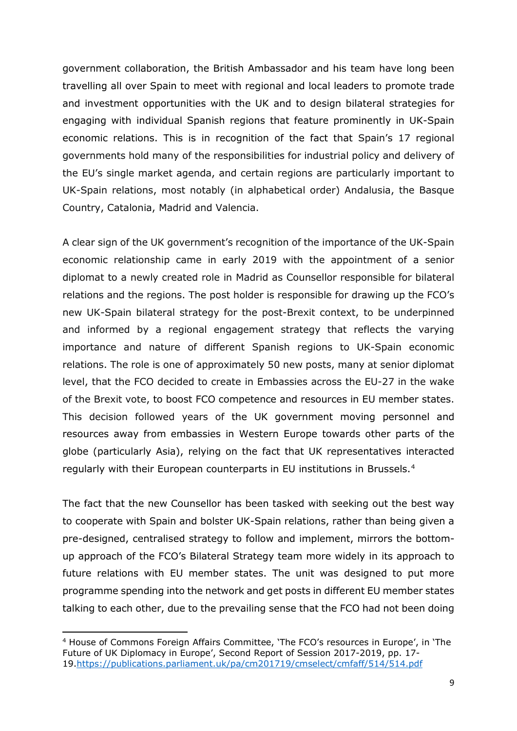government collaboration, the British Ambassador and his team have long been travelling all over Spain to meet with regional and local leaders to promote trade and investment opportunities with the UK and to design bilateral strategies for engaging with individual Spanish regions that feature prominently in UK-Spain economic relations. This is in recognition of the fact that Spain's 17 regional governments hold many of the responsibilities for industrial policy and delivery of the EU's single market agenda, and certain regions are particularly important to UK-Spain relations, most notably (in alphabetical order) Andalusia, the Basque Country, Catalonia, Madrid and Valencia.

A clear sign of the UK government's recognition of the importance of the UK-Spain economic relationship came in early 2019 with the appointment of a senior diplomat to a newly created role in Madrid as Counsellor responsible for bilateral relations and the regions. The post holder is responsible for drawing up the FCO's new UK-Spain bilateral strategy for the post-Brexit context, to be underpinned and informed by a regional engagement strategy that reflects the varying importance and nature of different Spanish regions to UK-Spain economic relations. The role is one of approximately 50 new posts, many at senior diplomat level, that the FCO decided to create in Embassies across the EU-27 in the wake of the Brexit vote, to boost FCO competence and resources in EU member states. This decision followed years of the UK government moving personnel and resources away from embassies in Western Europe towards other parts of the globe (particularly Asia), relying on the fact that UK representatives interacted regularly with their European counterparts in EU institutions in Brussels.[4](#page-8-0)

The fact that the new Counsellor has been tasked with seeking out the best way to cooperate with Spain and bolster UK-Spain relations, rather than being given a pre-designed, centralised strategy to follow and implement, mirrors the bottomup approach of the FCO's Bilateral Strategy team more widely in its approach to future relations with EU member states. The unit was designed to put more programme spending into the network and get posts in different EU member states talking to each other, due to the prevailing sense that the FCO had not been doing

<span id="page-8-0"></span><sup>4</sup> House of Commons Foreign Affairs Committee, 'The FCO's resources in Europe', in 'The Future of UK Diplomacy in Europe', Second Report of Session 2017-2019, pp. 17- 19[.https://publications.parliament.uk/pa/cm201719/cmselect/cmfaff/514/514.pdf](https://publications.parliament.uk/pa/cm201719/cmselect/cmfaff/514/514.pdf)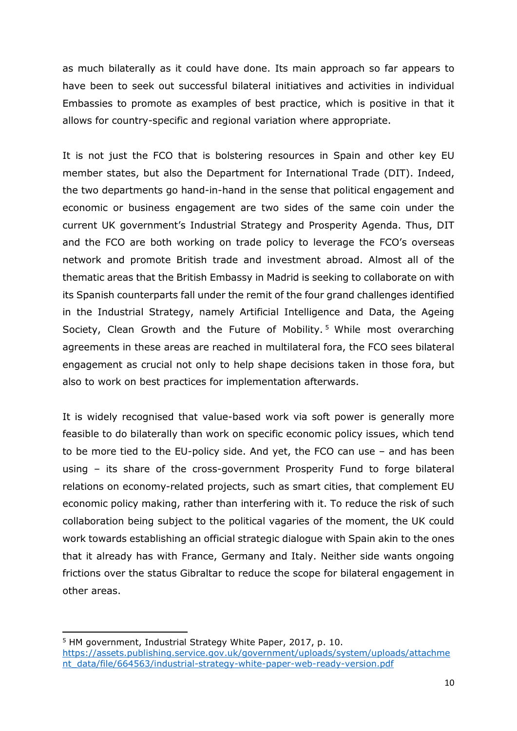as much bilaterally as it could have done. Its main approach so far appears to have been to seek out successful bilateral initiatives and activities in individual Embassies to promote as examples of best practice, which is positive in that it allows for country-specific and regional variation where appropriate.

It is not just the FCO that is bolstering resources in Spain and other key EU member states, but also the Department for International Trade (DIT). Indeed, the two departments go hand-in-hand in the sense that political engagement and economic or business engagement are two sides of the same coin under the current UK government's Industrial Strategy and Prosperity Agenda. Thus, DIT and the FCO are both working on trade policy to leverage the FCO's overseas network and promote British trade and investment abroad. Almost all of the thematic areas that the British Embassy in Madrid is seeking to collaborate on with its Spanish counterparts fall under the remit of the four grand challenges identified in the Industrial Strategy, namely Artificial Intelligence and Data, the Ageing Society, Clean Growth and the Future of Mobility.<sup>[5](#page-9-0)</sup> While most overarching agreements in these areas are reached in multilateral fora, the FCO sees bilateral engagement as crucial not only to help shape decisions taken in those fora, but also to work on best practices for implementation afterwards.

It is widely recognised that value-based work via soft power is generally more feasible to do bilaterally than work on specific economic policy issues, which tend to be more tied to the EU-policy side. And yet, the FCO can use – and has been using – its share of the cross-government Prosperity Fund to forge bilateral relations on economy-related projects, such as smart cities, that complement EU economic policy making, rather than interfering with it. To reduce the risk of such collaboration being subject to the political vagaries of the moment, the UK could work towards establishing an official strategic dialogue with Spain akin to the ones that it already has with France, Germany and Italy. Neither side wants ongoing frictions over the status Gibraltar to reduce the scope for bilateral engagement in other areas.

<span id="page-9-0"></span><sup>5</sup> HM government, Industrial Strategy White Paper, 2017, p. 10. [https://assets.publishing.service.gov.uk/government/uploads/system/uploads/attachme](https://assets.publishing.service.gov.uk/government/uploads/system/uploads/attachment_data/file/664563/industrial-strategy-white-paper-web-ready-version.pdf) [nt\\_data/file/664563/industrial-strategy-white-paper-web-ready-version.pdf](https://assets.publishing.service.gov.uk/government/uploads/system/uploads/attachment_data/file/664563/industrial-strategy-white-paper-web-ready-version.pdf)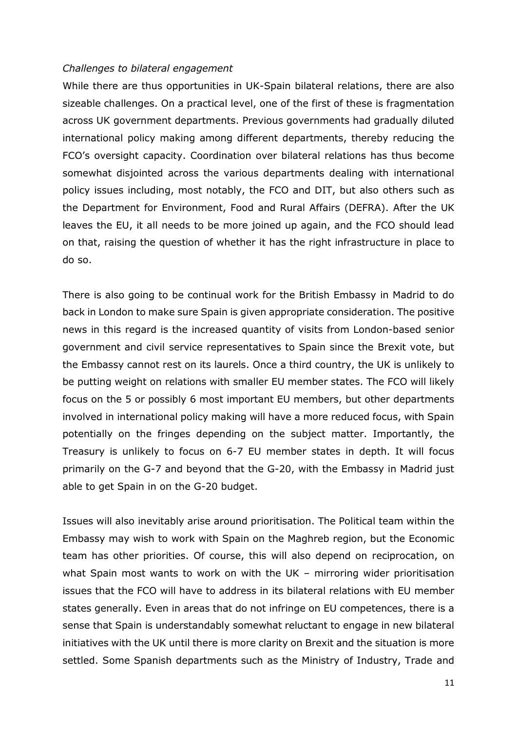#### *Challenges to bilateral engagement*

While there are thus opportunities in UK-Spain bilateral relations, there are also sizeable challenges. On a practical level, one of the first of these is fragmentation across UK government departments. Previous governments had gradually diluted international policy making among different departments, thereby reducing the FCO's oversight capacity. Coordination over bilateral relations has thus become somewhat disjointed across the various departments dealing with international policy issues including, most notably, the FCO and DIT, but also others such as the Department for Environment, Food and Rural Affairs (DEFRA). After the UK leaves the EU, it all needs to be more joined up again, and the FCO should lead on that, raising the question of whether it has the right infrastructure in place to do so.

There is also going to be continual work for the British Embassy in Madrid to do back in London to make sure Spain is given appropriate consideration. The positive news in this regard is the increased quantity of visits from London-based senior government and civil service representatives to Spain since the Brexit vote, but the Embassy cannot rest on its laurels. Once a third country, the UK is unlikely to be putting weight on relations with smaller EU member states. The FCO will likely focus on the 5 or possibly 6 most important EU members, but other departments involved in international policy making will have a more reduced focus, with Spain potentially on the fringes depending on the subject matter. Importantly, the Treasury is unlikely to focus on 6-7 EU member states in depth. It will focus primarily on the G-7 and beyond that the G-20, with the Embassy in Madrid just able to get Spain in on the G-20 budget.

Issues will also inevitably arise around prioritisation. The Political team within the Embassy may wish to work with Spain on the Maghreb region, but the Economic team has other priorities. Of course, this will also depend on reciprocation, on what Spain most wants to work on with the UK – mirroring wider prioritisation issues that the FCO will have to address in its bilateral relations with EU member states generally. Even in areas that do not infringe on EU competences, there is a sense that Spain is understandably somewhat reluctant to engage in new bilateral initiatives with the UK until there is more clarity on Brexit and the situation is more settled. Some Spanish departments such as the Ministry of Industry, Trade and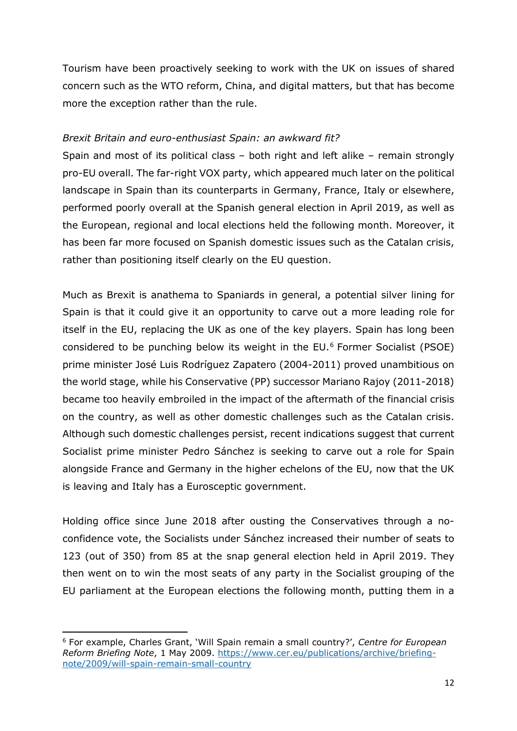Tourism have been proactively seeking to work with the UK on issues of shared concern such as the WTO reform, China, and digital matters, but that has become more the exception rather than the rule.

#### *Brexit Britain and euro-enthusiast Spain: an awkward fit?*

Spain and most of its political class – both right and left alike – remain strongly pro-EU overall. The far-right VOX party, which appeared much later on the political landscape in Spain than its counterparts in Germany, France, Italy or elsewhere, performed poorly overall at the Spanish general election in April 2019, as well as the European, regional and local elections held the following month. Moreover, it has been far more focused on Spanish domestic issues such as the Catalan crisis, rather than positioning itself clearly on the EU question.

Much as Brexit is anathema to Spaniards in general, a potential silver lining for Spain is that it could give it an opportunity to carve out a more leading role for itself in the EU, replacing the UK as one of the key players. Spain has long been considered to be punching below its weight in the EU.[6](#page-11-0) Former Socialist (PSOE) prime minister José Luis Rodríguez Zapatero (2004-2011) proved unambitious on the world stage, while his Conservative (PP) successor Mariano Rajoy (2011-2018) became too heavily embroiled in the impact of the aftermath of the financial crisis on the country, as well as other domestic challenges such as the Catalan crisis. Although such domestic challenges persist, recent indications suggest that current Socialist prime minister Pedro Sánchez is seeking to carve out a role for Spain alongside France and Germany in the higher echelons of the EU, now that the UK is leaving and Italy has a Eurosceptic government.

Holding office since June 2018 after ousting the Conservatives through a noconfidence vote, the Socialists under Sánchez increased their number of seats to 123 (out of 350) from 85 at the snap general election held in April 2019. They then went on to win the most seats of any party in the Socialist grouping of the EU parliament at the European elections the following month, putting them in a

<span id="page-11-0"></span><sup>6</sup> For example, Charles Grant, 'Will Spain remain a small country?', *Centre for European Reform Briefing Note*, 1 May 2009. [https://www.cer.eu/publications/archive/briefing](https://www.cer.eu/publications/archive/briefing-note/2009/will-spain-remain-small-country)[note/2009/will-spain-remain-small-country](https://www.cer.eu/publications/archive/briefing-note/2009/will-spain-remain-small-country)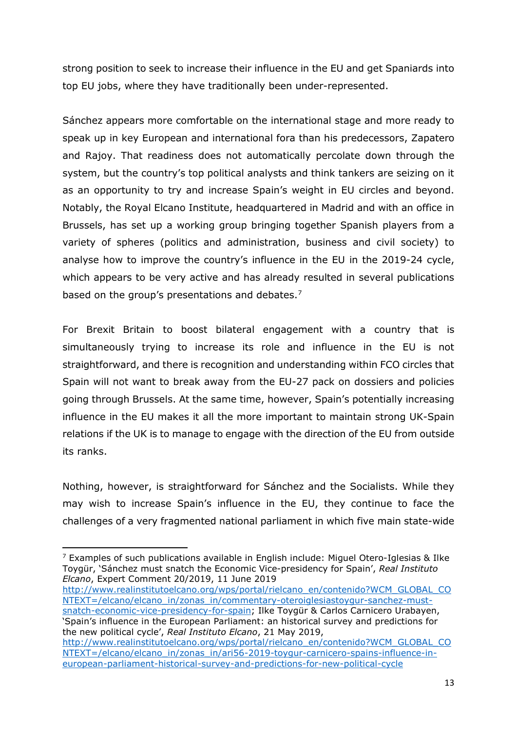strong position to seek to increase their influence in the EU and get Spaniards into top EU jobs, where they have traditionally been under-represented.

Sánchez appears more comfortable on the international stage and more ready to speak up in key European and international fora than his predecessors, Zapatero and Rajoy. That readiness does not automatically percolate down through the system, but the country's top political analysts and think tankers are seizing on it as an opportunity to try and increase Spain's weight in EU circles and beyond. Notably, the Royal Elcano Institute, headquartered in Madrid and with an office in Brussels, has set up a working group bringing together Spanish players from a variety of spheres (politics and administration, business and civil society) to analyse how to improve the country's influence in the EU in the 2019-24 cycle, which appears to be very active and has already resulted in several publications based on the group's presentations and debates. $<sup>7</sup>$  $<sup>7</sup>$  $<sup>7</sup>$ </sup>

For Brexit Britain to boost bilateral engagement with a country that is simultaneously trying to increase its role and influence in the EU is not straightforward, and there is recognition and understanding within FCO circles that Spain will not want to break away from the EU-27 pack on dossiers and policies going through Brussels. At the same time, however, Spain's potentially increasing influence in the EU makes it all the more important to maintain strong UK-Spain relations if the UK is to manage to engage with the direction of the EU from outside its ranks.

Nothing, however, is straightforward for Sánchez and the Socialists. While they may wish to increase Spain's influence in the EU, they continue to face the challenges of a very fragmented national parliament in which five main state-wide

 $\overline{a}$ 

[http://www.realinstitutoelcano.org/wps/portal/rielcano\\_en/contenido?WCM\\_GLOBAL\\_CO](http://www.realinstitutoelcano.org/wps/portal/rielcano_en/contenido?WCM_GLOBAL_CONTEXT=/elcano/elcano_in/zonas_in/commentary-oteroiglesiastoygur-sanchez-must-snatch-economic-vice-presidency-for-spain) [NTEXT=/elcano/elcano\\_in/zonas\\_in/commentary-oteroiglesiastoygur-sanchez-must](http://www.realinstitutoelcano.org/wps/portal/rielcano_en/contenido?WCM_GLOBAL_CONTEXT=/elcano/elcano_in/zonas_in/commentary-oteroiglesiastoygur-sanchez-must-snatch-economic-vice-presidency-for-spain)[snatch-economic-vice-presidency-for-spain;](http://www.realinstitutoelcano.org/wps/portal/rielcano_en/contenido?WCM_GLOBAL_CONTEXT=/elcano/elcano_in/zonas_in/commentary-oteroiglesiastoygur-sanchez-must-snatch-economic-vice-presidency-for-spain) Ilke Toygür & Carlos Carnicero Urabayen, 'Spain's influence in the European Parliament: an historical survey and predictions for the new political cycle', *Real Instituto Elcano*, 21 May 2019,

<span id="page-12-0"></span> $7$  Examples of such publications available in English include: Miguel Otero-Iglesias & Ilke Toygür, 'Sánchez must snatch the Economic Vice-presidency for Spain', *Real Instituto Elcano*, Expert Comment 20/2019, 11 June 2019

[http://www.realinstitutoelcano.org/wps/portal/rielcano\\_en/contenido?WCM\\_GLOBAL\\_CO](http://www.realinstitutoelcano.org/wps/portal/rielcano_en/contenido?WCM_GLOBAL_CONTEXT=/elcano/elcano_in/zonas_in/ari56-2019-toygur-carnicero-spains-influence-in-european-parliament-historical-survey-and-predictions-for-new-political-cycle) [NTEXT=/elcano/elcano\\_in/zonas\\_in/ari56-2019-toygur-carnicero-spains-influence-in](http://www.realinstitutoelcano.org/wps/portal/rielcano_en/contenido?WCM_GLOBAL_CONTEXT=/elcano/elcano_in/zonas_in/ari56-2019-toygur-carnicero-spains-influence-in-european-parliament-historical-survey-and-predictions-for-new-political-cycle)[european-parliament-historical-survey-and-predictions-for-new-political-cycle](http://www.realinstitutoelcano.org/wps/portal/rielcano_en/contenido?WCM_GLOBAL_CONTEXT=/elcano/elcano_in/zonas_in/ari56-2019-toygur-carnicero-spains-influence-in-european-parliament-historical-survey-and-predictions-for-new-political-cycle)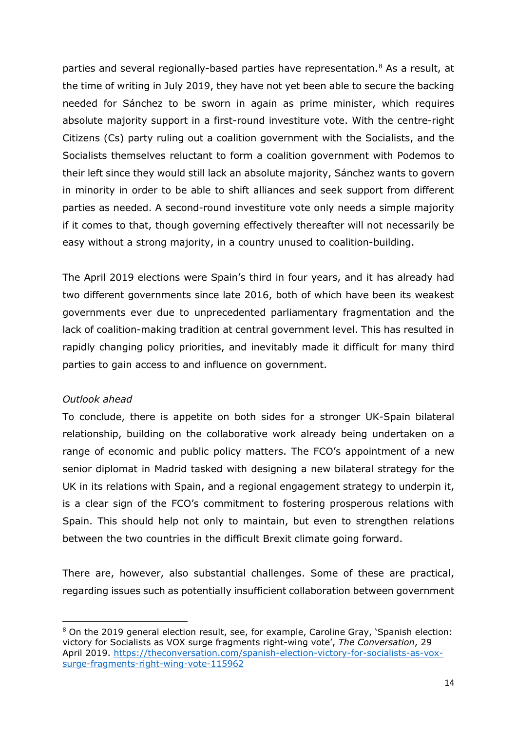parties and several regionally-based parties have representation.[8](#page-13-0) As a result, at the time of writing in July 2019, they have not yet been able to secure the backing needed for Sánchez to be sworn in again as prime minister, which requires absolute majority support in a first-round investiture vote. With the centre-right Citizens (Cs) party ruling out a coalition government with the Socialists, and the Socialists themselves reluctant to form a coalition government with Podemos to their left since they would still lack an absolute majority, Sánchez wants to govern in minority in order to be able to shift alliances and seek support from different parties as needed. A second-round investiture vote only needs a simple majority if it comes to that, though governing effectively thereafter will not necessarily be easy without a strong majority, in a country unused to coalition-building.

The April 2019 elections were Spain's third in four years, and it has already had two different governments since late 2016, both of which have been its weakest governments ever due to unprecedented parliamentary fragmentation and the lack of coalition-making tradition at central government level. This has resulted in rapidly changing policy priorities, and inevitably made it difficult for many third parties to gain access to and influence on government.

#### *Outlook ahead*

 $\overline{a}$ 

To conclude, there is appetite on both sides for a stronger UK-Spain bilateral relationship, building on the collaborative work already being undertaken on a range of economic and public policy matters. The FCO's appointment of a new senior diplomat in Madrid tasked with designing a new bilateral strategy for the UK in its relations with Spain, and a regional engagement strategy to underpin it, is a clear sign of the FCO's commitment to fostering prosperous relations with Spain. This should help not only to maintain, but even to strengthen relations between the two countries in the difficult Brexit climate going forward.

There are, however, also substantial challenges. Some of these are practical, regarding issues such as potentially insufficient collaboration between government

<span id="page-13-0"></span><sup>8</sup> On the 2019 general election result, see, for example, Caroline Gray, 'Spanish election: victory for Socialists as VOX surge fragments right-wing vote', *The Conversation*, 29 April 2019. [https://theconversation.com/spanish-election-victory-for-socialists-as-vox](https://theconversation.com/spanish-election-victory-for-socialists-as-vox-surge-fragments-right-wing-vote-115962)[surge-fragments-right-wing-vote-115962](https://theconversation.com/spanish-election-victory-for-socialists-as-vox-surge-fragments-right-wing-vote-115962)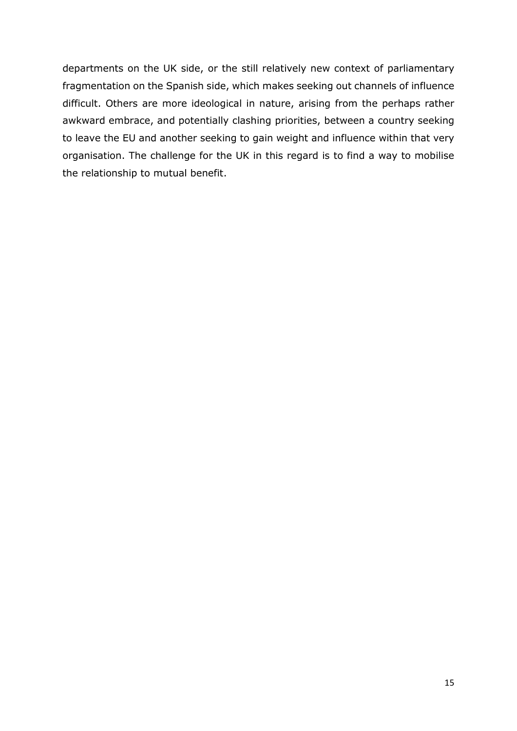departments on the UK side, or the still relatively new context of parliamentary fragmentation on the Spanish side, which makes seeking out channels of influence difficult. Others are more ideological in nature, arising from the perhaps rather awkward embrace, and potentially clashing priorities, between a country seeking to leave the EU and another seeking to gain weight and influence within that very organisation. The challenge for the UK in this regard is to find a way to mobilise the relationship to mutual benefit.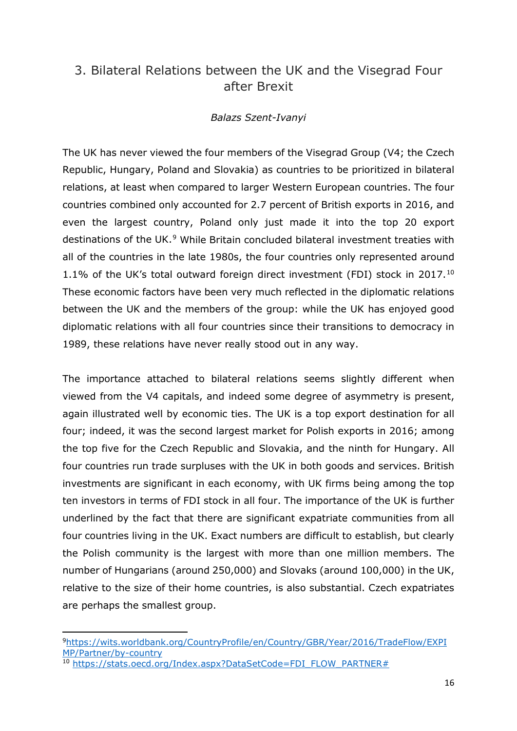## <span id="page-15-0"></span>3. Bilateral Relations between the UK and the Visegrad Four after Brexit

#### *Balazs Szent-Ivanyi*

The UK has never viewed the four members of the Visegrad Group (V4; the Czech Republic, Hungary, Poland and Slovakia) as countries to be prioritized in bilateral relations, at least when compared to larger Western European countries. The four countries combined only accounted for 2.7 percent of British exports in 2016, and even the largest country, Poland only just made it into the top 20 export destinations of the UK.<sup>[9](#page-15-1)</sup> While Britain concluded bilateral investment treaties with all of the countries in the late 1980s, the four countries only represented around 1.1% of the UK's total outward foreign direct investment (FDI) stock in 2017.[10](#page-15-2) These economic factors have been very much reflected in the diplomatic relations between the UK and the members of the group: while the UK has enjoyed good diplomatic relations with all four countries since their transitions to democracy in 1989, these relations have never really stood out in any way.

The importance attached to bilateral relations seems slightly different when viewed from the V4 capitals, and indeed some degree of asymmetry is present, again illustrated well by economic ties. The UK is a top export destination for all four; indeed, it was the second largest market for Polish exports in 2016; among the top five for the Czech Republic and Slovakia, and the ninth for Hungary. All four countries run trade surpluses with the UK in both goods and services. British investments are significant in each economy, with UK firms being among the top ten investors in terms of FDI stock in all four. The importance of the UK is further underlined by the fact that there are significant expatriate communities from all four countries living in the UK. Exact numbers are difficult to establish, but clearly the Polish community is the largest with more than one million members. The number of Hungarians (around 250,000) and Slovaks (around 100,000) in the UK, relative to the size of their home countries, is also substantial. Czech expatriates are perhaps the smallest group.

<span id="page-15-1"></span>[<sup>9</sup>https://wits.worldbank.org/CountryProfile/en/Country/GBR/Year/2016/TradeFlow/EXPI](https://wits.worldbank.org/CountryProfile/en/Country/GBR/Year/2016/TradeFlow/EXPIMP/Partner/by-country) [MP/Partner/by-country](https://wits.worldbank.org/CountryProfile/en/Country/GBR/Year/2016/TradeFlow/EXPIMP/Partner/by-country)

<span id="page-15-2"></span><sup>10</sup> [https://stats.oecd.org/Index.aspx?DataSetCode=FDI\\_FLOW\\_PARTNER#](https://stats.oecd.org/Index.aspx?DataSetCode=FDI_FLOW_PARTNER)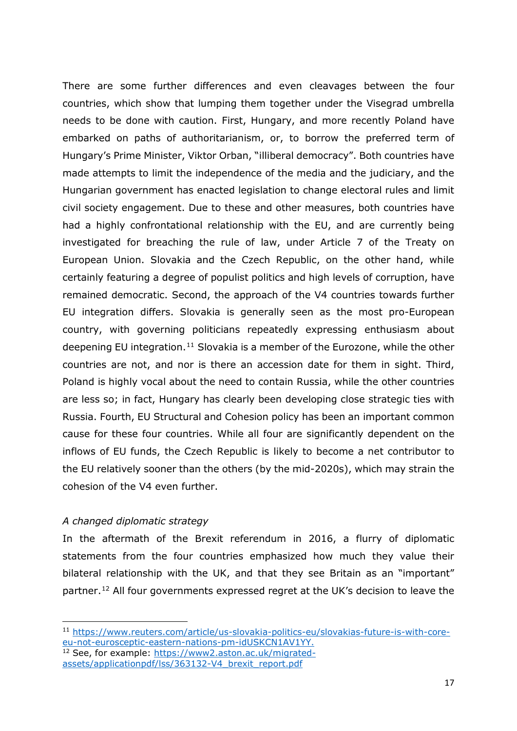There are some further differences and even cleavages between the four countries, which show that lumping them together under the Visegrad umbrella needs to be done with caution. First, Hungary, and more recently Poland have embarked on paths of authoritarianism, or, to borrow the preferred term of Hungary's Prime Minister, Viktor Orban, "illiberal democracy". Both countries have made attempts to limit the independence of the media and the judiciary, and the Hungarian government has enacted legislation to change electoral rules and limit civil society engagement. Due to these and other measures, both countries have had a highly confrontational relationship with the EU, and are currently being investigated for breaching the rule of law, under Article 7 of the Treaty on European Union. Slovakia and the Czech Republic, on the other hand, while certainly featuring a degree of populist politics and high levels of corruption, have remained democratic. Second, the approach of the V4 countries towards further EU integration differs. Slovakia is generally seen as the most pro-European country, with governing politicians repeatedly expressing enthusiasm about deepening EU integration.<sup>[11](#page-16-0)</sup> Slovakia is a member of the Eurozone, while the other countries are not, and nor is there an accession date for them in sight. Third, Poland is highly vocal about the need to contain Russia, while the other countries are less so; in fact, Hungary has clearly been developing close strategic ties with Russia. Fourth, EU Structural and Cohesion policy has been an important common cause for these four countries. While all four are significantly dependent on the inflows of EU funds, the Czech Republic is likely to become a net contributor to the EU relatively sooner than the others (by the mid-2020s), which may strain the cohesion of the V4 even further.

#### *A changed diplomatic strategy*

 $\overline{a}$ 

In the aftermath of the Brexit referendum in 2016, a flurry of diplomatic statements from the four countries emphasized how much they value their bilateral relationship with the UK, and that they see Britain as an "important" partner.[12](#page-16-1) All four governments expressed regret at the UK's decision to leave the

<span id="page-16-0"></span><sup>11</sup> [https://www.reuters.com/article/u](https://www.reuters.com/article/)s-slovakia-politics-eu/slovakias-future-is-with-coreeu-not-eurosceptic-eastern-nations-pm-idUSKCN1AV1YY.

<span id="page-16-1"></span><sup>12</sup> See, for example: [https://www2.aston.ac.uk/migrated](https://www2.aston.ac.uk/migrated-assets/applicationpdf/lss/363132-V4_brexit_report.pdf)[assets/applicationpdf/lss/363132-V4\\_brexit\\_report.pdf](https://www2.aston.ac.uk/migrated-assets/applicationpdf/lss/363132-V4_brexit_report.pdf)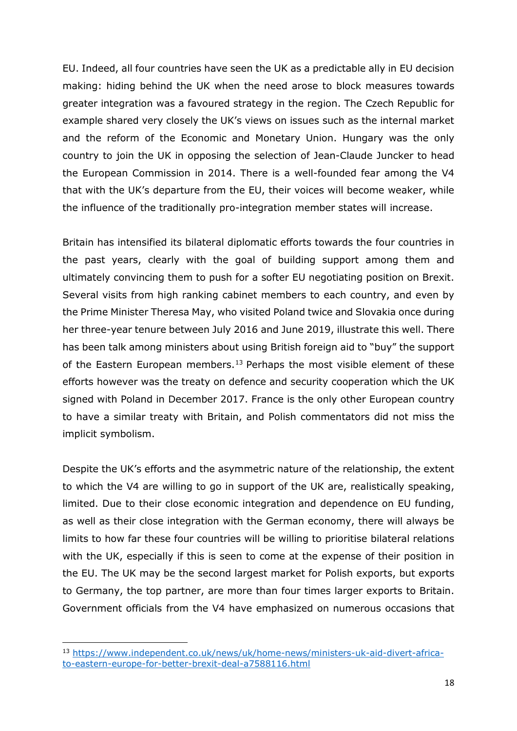EU. Indeed, all four countries have seen the UK as a predictable ally in EU decision making: hiding behind the UK when the need arose to block measures towards greater integration was a favoured strategy in the region. The Czech Republic for example shared very closely the UK's views on issues such as the internal market and the reform of the Economic and Monetary Union. Hungary was the only country to join the UK in opposing the selection of Jean-Claude Juncker to head the European Commission in 2014. There is a well-founded fear among the V4 that with the UK's departure from the EU, their voices will become weaker, while the influence of the traditionally pro-integration member states will increase.

Britain has intensified its bilateral diplomatic efforts towards the four countries in the past years, clearly with the goal of building support among them and ultimately convincing them to push for a softer EU negotiating position on Brexit. Several visits from high ranking cabinet members to each country, and even by the Prime Minister Theresa May, who visited Poland twice and Slovakia once during her three-year tenure between July 2016 and June 2019, illustrate this well. There has been talk among ministers about using British foreign aid to "buy" the support of the Eastern European members.<sup>[13](#page-17-0)</sup> Perhaps the most visible element of these efforts however was the treaty on defence and security cooperation which the UK signed with Poland in December 2017. France is the only other European country to have a similar treaty with Britain, and Polish commentators did not miss the implicit symbolism.

Despite the UK's efforts and the asymmetric nature of the relationship, the extent to which the V4 are willing to go in support of the UK are, realistically speaking, limited. Due to their close economic integration and dependence on EU funding, as well as their close integration with the German economy, there will always be limits to how far these four countries will be willing to prioritise bilateral relations with the UK, especially if this is seen to come at the expense of their position in the EU. The UK may be the second largest market for Polish exports, but exports to Germany, the top partner, are more than four times larger exports to Britain. Government officials from the V4 have emphasized on numerous occasions that

<u>.</u>

<span id="page-17-0"></span><sup>13</sup> [https://www.independent.co.uk/news/uk/home-news/ministers-uk-aid-divert-africa](https://www.independent.co.uk/news/uk/home-news/ministers-uk-aid-divert-africa-to-eastern-europe-for-better-brexit-deal-a7588116.html)[to-eastern-europe-for-better-brexit-deal-a7588116.html](https://www.independent.co.uk/news/uk/home-news/ministers-uk-aid-divert-africa-to-eastern-europe-for-better-brexit-deal-a7588116.html)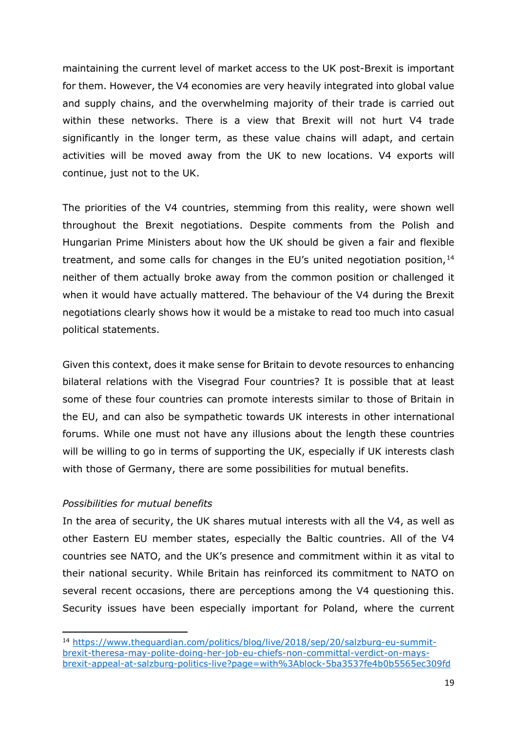maintaining the current level of market access to the UK post-Brexit is important for them. However, the V4 economies are very heavily integrated into global value and supply chains, and the overwhelming majority of their trade is carried out within these networks. There is a view that Brexit will not hurt V4 trade significantly in the longer term, as these value chains will adapt, and certain activities will be moved away from the UK to new locations. V4 exports will continue, just not to the UK.

The priorities of the V4 countries, stemming from this reality, were shown well throughout the Brexit negotiations. Despite comments from the Polish and Hungarian Prime Ministers about how the UK should be given a fair and flexible treatment, and some calls for changes in the EU's united negotiation position, $14$ neither of them actually broke away from the common position or challenged it when it would have actually mattered. The behaviour of the V4 during the Brexit negotiations clearly shows how it would be a mistake to read too much into casual political statements.

Given this context, does it make sense for Britain to devote resources to enhancing bilateral relations with the Visegrad Four countries? It is possible that at least some of these four countries can promote interests similar to those of Britain in the EU, and can also be sympathetic towards UK interests in other international forums. While one must not have any illusions about the length these countries will be willing to go in terms of supporting the UK, especially if UK interests clash with those of Germany, there are some possibilities for mutual benefits.

#### *Possibilities for mutual benefits*

**.** 

In the area of security, the UK shares mutual interests with all the V4, as well as other Eastern EU member states, especially the Baltic countries. All of the V4 countries see NATO, and the UK's presence and commitment within it as vital to their national security. While Britain has reinforced its commitment to NATO on several recent occasions, there are perceptions among the V4 questioning this. Security issues have been especially important for Poland, where the current

<span id="page-18-0"></span><sup>14</sup> [https://www.theguardian.com/politics/blog/live/2018/sep/20/salzburg-eu-summit](https://www.theguardian.com/politics/blog/live/2018/sep/20/salzburg-eu-summit-brexit-theresa-may-polite-doing-her-job-eu-chiefs-non-committal-verdict-on-mays-brexit-appeal-at-salzburg-politics-live?page=with%3Ablock-5ba3537fe4b0b5565ec309fd)[brexit-theresa-may-polite-doing-her-job-eu-chiefs-non-committal-verdict-on-mays](https://www.theguardian.com/politics/blog/live/2018/sep/20/salzburg-eu-summit-brexit-theresa-may-polite-doing-her-job-eu-chiefs-non-committal-verdict-on-mays-brexit-appeal-at-salzburg-politics-live?page=with%3Ablock-5ba3537fe4b0b5565ec309fd)[brexit-appeal-at-salzburg-politics-live?page=with%3Ablock-5ba3537fe4b0b5565ec309fd](https://www.theguardian.com/politics/blog/live/2018/sep/20/salzburg-eu-summit-brexit-theresa-may-polite-doing-her-job-eu-chiefs-non-committal-verdict-on-mays-brexit-appeal-at-salzburg-politics-live?page=with%3Ablock-5ba3537fe4b0b5565ec309fd)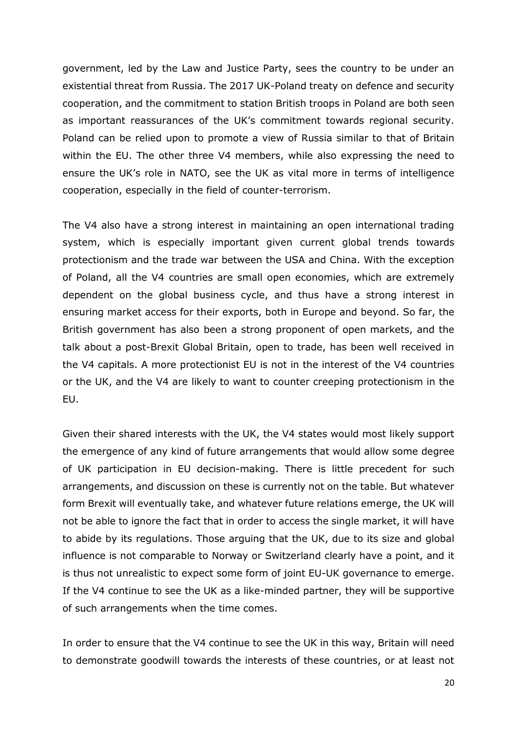government, led by the Law and Justice Party, sees the country to be under an existential threat from Russia. The 2017 UK-Poland treaty on defence and security cooperation, and the commitment to station British troops in Poland are both seen as important reassurances of the UK's commitment towards regional security. Poland can be relied upon to promote a view of Russia similar to that of Britain within the EU. The other three V4 members, while also expressing the need to ensure the UK's role in NATO, see the UK as vital more in terms of intelligence cooperation, especially in the field of counter-terrorism.

The V4 also have a strong interest in maintaining an open international trading system, which is especially important given current global trends towards protectionism and the trade war between the USA and China. With the exception of Poland, all the V4 countries are small open economies, which are extremely dependent on the global business cycle, and thus have a strong interest in ensuring market access for their exports, both in Europe and beyond. So far, the British government has also been a strong proponent of open markets, and the talk about a post-Brexit Global Britain, open to trade, has been well received in the V4 capitals. A more protectionist EU is not in the interest of the V4 countries or the UK, and the V4 are likely to want to counter creeping protectionism in the EU.

Given their shared interests with the UK, the V4 states would most likely support the emergence of any kind of future arrangements that would allow some degree of UK participation in EU decision-making. There is little precedent for such arrangements, and discussion on these is currently not on the table. But whatever form Brexit will eventually take, and whatever future relations emerge, the UK will not be able to ignore the fact that in order to access the single market, it will have to abide by its regulations. Those arguing that the UK, due to its size and global influence is not comparable to Norway or Switzerland clearly have a point, and it is thus not unrealistic to expect some form of joint EU-UK governance to emerge. If the V4 continue to see the UK as a like-minded partner, they will be supportive of such arrangements when the time comes.

In order to ensure that the V4 continue to see the UK in this way, Britain will need to demonstrate goodwill towards the interests of these countries, or at least not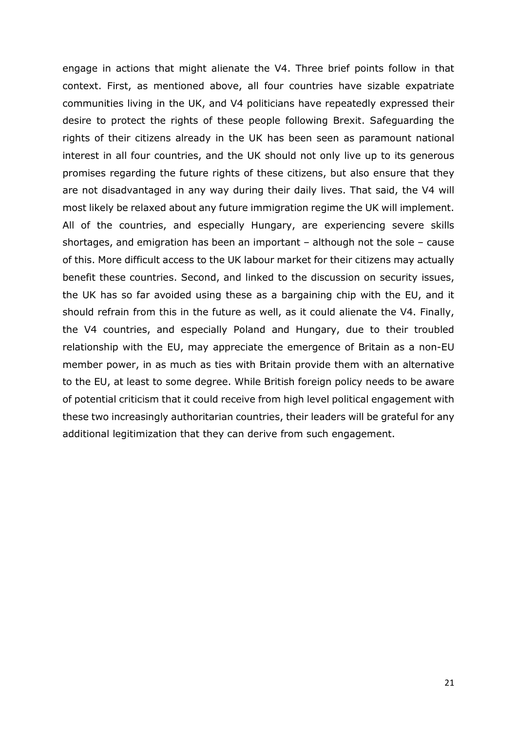engage in actions that might alienate the V4. Three brief points follow in that context. First, as mentioned above, all four countries have sizable expatriate communities living in the UK, and V4 politicians have repeatedly expressed their desire to protect the rights of these people following Brexit. Safeguarding the rights of their citizens already in the UK has been seen as paramount national interest in all four countries, and the UK should not only live up to its generous promises regarding the future rights of these citizens, but also ensure that they are not disadvantaged in any way during their daily lives. That said, the V4 will most likely be relaxed about any future immigration regime the UK will implement. All of the countries, and especially Hungary, are experiencing severe skills shortages, and emigration has been an important – although not the sole – cause of this. More difficult access to the UK labour market for their citizens may actually benefit these countries. Second, and linked to the discussion on security issues, the UK has so far avoided using these as a bargaining chip with the EU, and it should refrain from this in the future as well, as it could alienate the V4. Finally, the V4 countries, and especially Poland and Hungary, due to their troubled relationship with the EU, may appreciate the emergence of Britain as a non-EU member power, in as much as ties with Britain provide them with an alternative to the EU, at least to some degree. While British foreign policy needs to be aware of potential criticism that it could receive from high level political engagement with these two increasingly authoritarian countries, their leaders will be grateful for any additional legitimization that they can derive from such engagement.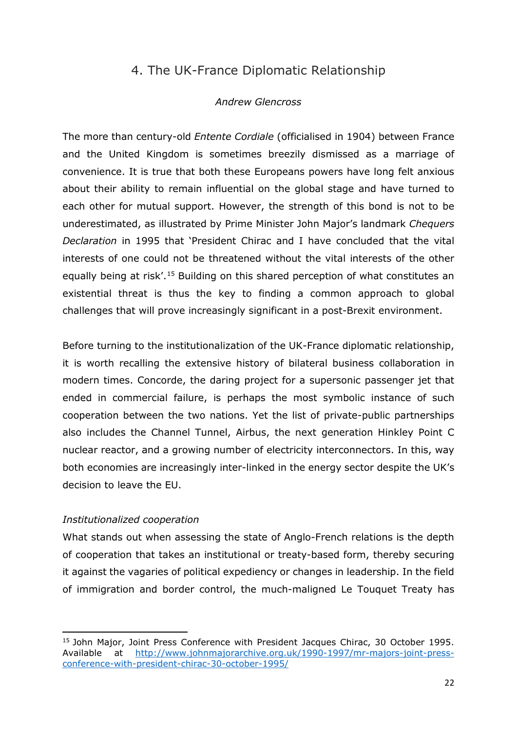## 4. The UK-France Diplomatic Relationship

#### *Andrew Glencross*

<span id="page-21-0"></span>The more than century-old *Entente Cordiale* (officialised in 1904) between France and the United Kingdom is sometimes breezily dismissed as a marriage of convenience. It is true that both these Europeans powers have long felt anxious about their ability to remain influential on the global stage and have turned to each other for mutual support. However, the strength of this bond is not to be underestimated, as illustrated by Prime Minister John Major's landmark *Chequers Declaration* in 1995 that 'President Chirac and I have concluded that the vital interests of one could not be threatened without the vital interests of the other equally being at risk'.[15](#page-21-1) Building on this shared perception of what constitutes an existential threat is thus the key to finding a common approach to global challenges that will prove increasingly significant in a post-Brexit environment.

Before turning to the institutionalization of the UK-France diplomatic relationship, it is worth recalling the extensive history of bilateral business collaboration in modern times. Concorde, the daring project for a supersonic passenger jet that ended in commercial failure, is perhaps the most symbolic instance of such cooperation between the two nations. Yet the list of private-public partnerships also includes the Channel Tunnel, Airbus, the next generation Hinkley Point C nuclear reactor, and a growing number of electricity interconnectors. In this, way both economies are increasingly inter-linked in the energy sector despite the UK's decision to leave the EU.

#### *Institutionalized cooperation*

**.** 

What stands out when assessing the state of Anglo-French relations is the depth of cooperation that takes an institutional or treaty-based form, thereby securing it against the vagaries of political expediency or changes in leadership. In the field of immigration and border control, the much-maligned Le Touquet Treaty has

<span id="page-21-1"></span><sup>&</sup>lt;sup>15</sup> John Major, Joint Press Conference with President Jacques Chirac, 30 October 1995. Available at [http://www.johnmajorarchive.org.uk/1990-1997/mr-majors-joint-press](http://www.johnmajorarchive.org.uk/1990-1997/mr-majors-joint-press-conference-with-president-chirac-30-october-1995/)[conference-with-president-chirac-30-october-1995/](http://www.johnmajorarchive.org.uk/1990-1997/mr-majors-joint-press-conference-with-president-chirac-30-october-1995/)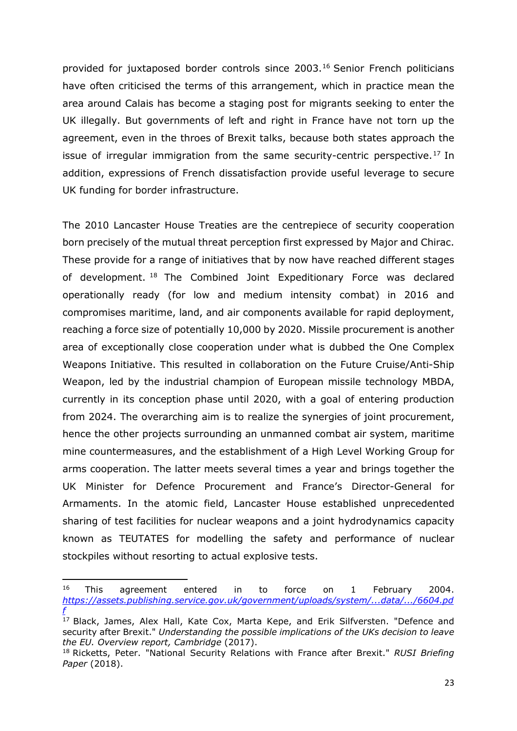provided for juxtaposed border controls since 2003.[16](#page-22-0) Senior French politicians have often criticised the terms of this arrangement, which in practice mean the area around Calais has become a staging post for migrants seeking to enter the UK illegally. But governments of left and right in France have not torn up the agreement, even in the throes of Brexit talks, because both states approach the issue of irregular immigration from the same security-centric perspective.<sup>[17](#page-22-1)</sup> In addition, expressions of French dissatisfaction provide useful leverage to secure UK funding for border infrastructure.

The 2010 Lancaster House Treaties are the centrepiece of security cooperation born precisely of the mutual threat perception first expressed by Major and Chirac. These provide for a range of initiatives that by now have reached different stages of development. [18](#page-22-2) The Combined Joint Expeditionary Force was declared operationally ready (for low and medium intensity combat) in 2016 and compromises maritime, land, and air components available for rapid deployment, reaching a force size of potentially 10,000 by 2020. Missile procurement is another area of exceptionally close cooperation under what is dubbed the One Complex Weapons Initiative. This resulted in collaboration on the Future Cruise/Anti-Ship Weapon, led by the industrial champion of European missile technology MBDA, currently in its conception phase until 2020, with a goal of entering production from 2024. The overarching aim is to realize the synergies of joint procurement, hence the other projects surrounding an unmanned combat air system, maritime mine countermeasures, and the establishment of a High Level Working Group for arms cooperation. The latter meets several times a year and brings together the UK Minister for Defence Procurement and France's Director-General for Armaments. In the atomic field, Lancaster House established unprecedented sharing of test facilities for nuclear weapons and a joint hydrodynamics capacity known as TEUTATES for modelling the safety and performance of nuclear stockpiles without resorting to actual explosive tests.

<span id="page-22-0"></span><sup>&</sup>lt;sup>16</sup> This agreement entered in to force on 1 February 2004. *[https://assets.publishing.service.gov.uk/government/uploads/system/...data/.../6604.pd](https://www.google.com/url?sa=t&rct=j&q=&esrc=s&source=web&cd=4&ved=2ahUKEwj49uGFo9TiAhUPSxUIHelfCJ4QFjADegQIBBAC&url=https%3A%2F%2Fassets.publishing.service.gov.uk%2Fgovernment%2Fuploads%2Fsystem%2Fuploads%2Fattachment_data%2Ffile%2F273239%2F6604.pdf&usg=AOvVaw2Pmd47ApiekyCwImmpskGv) [f](https://www.google.com/url?sa=t&rct=j&q=&esrc=s&source=web&cd=4&ved=2ahUKEwj49uGFo9TiAhUPSxUIHelfCJ4QFjADegQIBBAC&url=https%3A%2F%2Fassets.publishing.service.gov.uk%2Fgovernment%2Fuploads%2Fsystem%2Fuploads%2Fattachment_data%2Ffile%2F273239%2F6604.pdf&usg=AOvVaw2Pmd47ApiekyCwImmpskGv)*

<span id="page-22-1"></span><sup>&</sup>lt;sup>17</sup> Black, James, Alex Hall, Kate Cox, Marta Kepe, and Erik Silfversten. "Defence and security after Brexit." *Understanding the possible implications of the UKs decision to leave the EU. Overview report, Cambridge* (2017).

<span id="page-22-2"></span><sup>18</sup> Ricketts, Peter. "National Security Relations with France after Brexit." *RUSI Briefing Paper* (2018).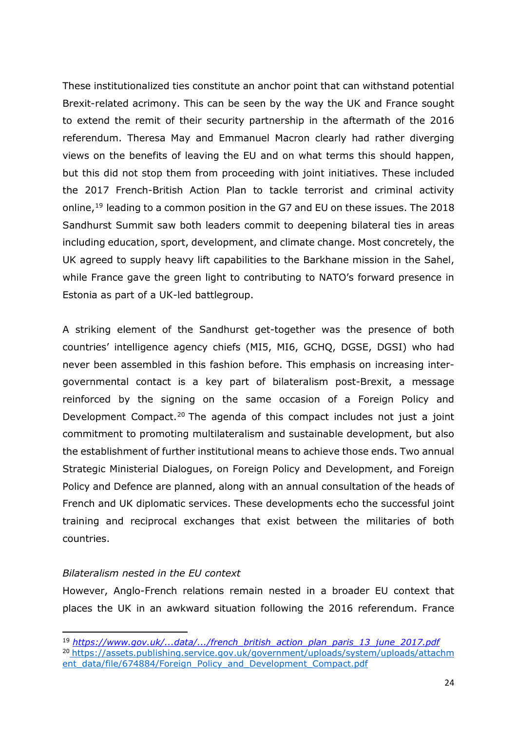These institutionalized ties constitute an anchor point that can withstand potential Brexit-related acrimony. This can be seen by the way the UK and France sought to extend the remit of their security partnership in the aftermath of the 2016 referendum. Theresa May and Emmanuel Macron clearly had rather diverging views on the benefits of leaving the EU and on what terms this should happen, but this did not stop them from proceeding with joint initiatives. These included the 2017 French-British Action Plan to tackle terrorist and criminal activity online,[19](#page-23-0) leading to a common position in the G7 and EU on these issues. The 2018 Sandhurst Summit saw both leaders commit to deepening bilateral ties in areas including education, sport, development, and climate change. Most concretely, the UK agreed to supply heavy lift capabilities to the Barkhane mission in the Sahel, while France gave the green light to contributing to NATO's forward presence in Estonia as part of a UK-led battlegroup.

A striking element of the Sandhurst get-together was the presence of both countries' intelligence agency chiefs (MI5, MI6, GCHQ, DGSE, DGSI) who had never been assembled in this fashion before. This emphasis on increasing intergovernmental contact is a key part of bilateralism post-Brexit, a message reinforced by the signing on the same occasion of a Foreign Policy and Development Compact.[20](#page-23-1) The agenda of this compact includes not just a joint commitment to promoting multilateralism and sustainable development, but also the establishment of further institutional means to achieve those ends. Two annual Strategic Ministerial Dialogues, on Foreign Policy and Development, and Foreign Policy and Defence are planned, along with an annual consultation of the heads of French and UK diplomatic services. These developments echo the successful joint training and reciprocal exchanges that exist between the militaries of both countries.

#### *Bilateralism nested in the EU context*

**.** 

However, Anglo-French relations remain nested in a broader EU context that places the UK in an awkward situation following the 2016 referendum. France

<span id="page-23-1"></span><span id="page-23-0"></span><sup>19</sup> *[https://www.gov.uk/...data/.../french\\_british\\_action\\_plan\\_paris\\_13\\_june\\_2017.pdf](https://www.gov.uk/government/uploads/system/uploads/attachment_data/file/619333/french_british_action_plan_paris_13_june_2017.pdf)* <sup>20</sup> [https://assets.publishing.service.gov.uk/government/uploads/system/uploads/attachm](https://assets.publishing.service.gov.uk/government/uploads/system/uploads/attachment_data/file/674884/Foreign_Policy_and_Development_Compact.pdf) [ent\\_data/file/674884/Foreign\\_Policy\\_and\\_Development\\_Compact.pdf](https://assets.publishing.service.gov.uk/government/uploads/system/uploads/attachment_data/file/674884/Foreign_Policy_and_Development_Compact.pdf)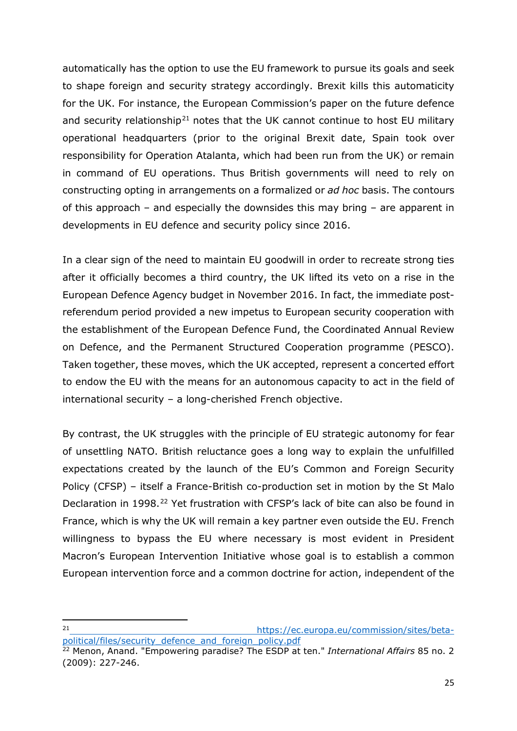automatically has the option to use the EU framework to pursue its goals and seek to shape foreign and security strategy accordingly. Brexit kills this automaticity for the UK. For instance, the European Commission's paper on the future defence and security relationship<sup>[21](#page-24-0)</sup> notes that the UK cannot continue to host EU military operational headquarters (prior to the original Brexit date, Spain took over responsibility for Operation Atalanta, which had been run from the UK) or remain in command of EU operations. Thus British governments will need to rely on constructing opting in arrangements on a formalized or *ad hoc* basis. The contours of this approach – and especially the downsides this may bring – are apparent in developments in EU defence and security policy since 2016.

In a clear sign of the need to maintain EU goodwill in order to recreate strong ties after it officially becomes a third country, the UK lifted its veto on a rise in the European Defence Agency budget in November 2016. In fact, the immediate postreferendum period provided a new impetus to European security cooperation with the establishment of the European Defence Fund, the Coordinated Annual Review on Defence, and the Permanent Structured Cooperation programme (PESCO). Taken together, these moves, which the UK accepted, represent a concerted effort to endow the EU with the means for an autonomous capacity to act in the field of international security – a long-cherished French objective.

By contrast, the UK struggles with the principle of EU strategic autonomy for fear of unsettling NATO. British reluctance goes a long way to explain the unfulfilled expectations created by the launch of the EU's Common and Foreign Security Policy (CFSP) – itself a France-British co-production set in motion by the St Malo Declaration in 1998.<sup>[22](#page-24-1)</sup> Yet frustration with CFSP's lack of bite can also be found in France, which is why the UK will remain a key partner even outside the EU. French willingness to bypass the EU where necessary is most evident in President Macron's European Intervention Initiative whose goal is to establish a common European intervention force and a common doctrine for action, independent of the

<span id="page-24-0"></span> $21$ [https://ec.europa.eu/commission/sites/beta](https://ec.europa.eu/commission/sites/beta-political/files/security_defence_and_foreign_policy.pdf)[political/files/security\\_defence\\_and\\_foreign\\_policy.pdf](https://ec.europa.eu/commission/sites/beta-political/files/security_defence_and_foreign_policy.pdf)

<span id="page-24-1"></span><sup>22</sup> Menon, Anand. "Empowering paradise? The ESDP at ten." *International Affairs* 85 no. 2 (2009): 227-246.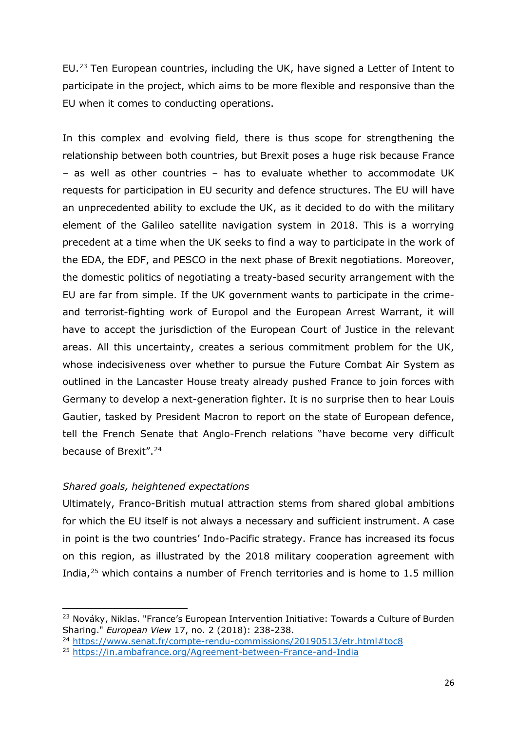EU.[23](#page-25-0) Ten European countries, including the UK, have signed a Letter of Intent to participate in the project, which aims to be more flexible and responsive than the EU when it comes to conducting operations.

In this complex and evolving field, there is thus scope for strengthening the relationship between both countries, but Brexit poses a huge risk because France – as well as other countries – has to evaluate whether to accommodate UK requests for participation in EU security and defence structures. The EU will have an unprecedented ability to exclude the UK, as it decided to do with the military element of the Galileo satellite navigation system in 2018. This is a worrying precedent at a time when the UK seeks to find a way to participate in the work of the EDA, the EDF, and PESCO in the next phase of Brexit negotiations. Moreover, the domestic politics of negotiating a treaty-based security arrangement with the EU are far from simple. If the UK government wants to participate in the crimeand terrorist-fighting work of Europol and the European Arrest Warrant, it will have to accept the jurisdiction of the European Court of Justice in the relevant areas. All this uncertainty, creates a serious commitment problem for the UK, whose indecisiveness over whether to pursue the Future Combat Air System as outlined in the Lancaster House treaty already pushed France to join forces with Germany to develop a next-generation fighter. It is no surprise then to hear Louis Gautier, tasked by President Macron to report on the state of European defence, tell the French Senate that Anglo-French relations "have become very difficult because of Brexit".[24](#page-25-1)

#### *Shared goals, heightened expectations*

<u>.</u>

Ultimately, Franco-British mutual attraction stems from shared global ambitions for which the EU itself is not always a necessary and sufficient instrument. A case in point is the two countries' Indo-Pacific strategy. France has increased its focus on this region, as illustrated by the 2018 military cooperation agreement with India,<sup>[25](#page-25-2)</sup> which contains a number of French territories and is home to 1.5 million

<span id="page-25-0"></span><sup>&</sup>lt;sup>23</sup> Nováky, Niklas. "France's European Intervention Initiative: Towards a Culture of Burden Sharing." *European View* 17, no. 2 (2018): 238-238.

<span id="page-25-1"></span><sup>24</sup> <https://www.senat.fr/compte-rendu-commissions/20190513/etr.html#toc8>

<span id="page-25-2"></span><sup>25</sup> [https://in.ambafrance.org/Agreement-between-France-and-India](https://in.ambafrance.org/Agreement-between-France-and-India%0d)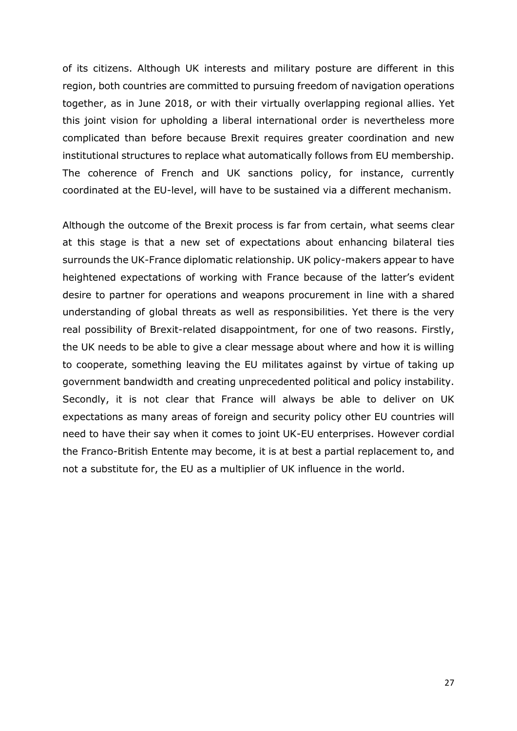of its citizens. Although UK interests and military posture are different in this region, both countries are committed to pursuing freedom of navigation operations together, as in June 2018, or with their virtually overlapping regional allies. Yet this joint vision for upholding a liberal international order is nevertheless more complicated than before because Brexit requires greater coordination and new institutional structures to replace what automatically follows from EU membership. The coherence of French and UK sanctions policy, for instance, currently coordinated at the EU-level, will have to be sustained via a different mechanism.

Although the outcome of the Brexit process is far from certain, what seems clear at this stage is that a new set of expectations about enhancing bilateral ties surrounds the UK-France diplomatic relationship. UK policy-makers appear to have heightened expectations of working with France because of the latter's evident desire to partner for operations and weapons procurement in line with a shared understanding of global threats as well as responsibilities. Yet there is the very real possibility of Brexit-related disappointment, for one of two reasons. Firstly, the UK needs to be able to give a clear message about where and how it is willing to cooperate, something leaving the EU militates against by virtue of taking up government bandwidth and creating unprecedented political and policy instability. Secondly, it is not clear that France will always be able to deliver on UK expectations as many areas of foreign and security policy other EU countries will need to have their say when it comes to joint UK-EU enterprises. However cordial the Franco-British Entente may become, it is at best a partial replacement to, and not a substitute for, the EU as a multiplier of UK influence in the world.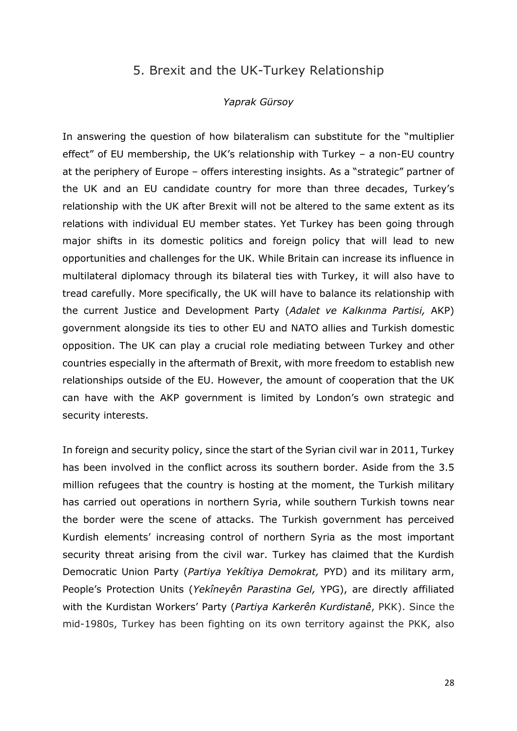### 5. Brexit and the UK-Turkey Relationship

#### *Yaprak Gürsoy*

<span id="page-27-0"></span>In answering the question of how bilateralism can substitute for the "multiplier effect" of EU membership, the UK's relationship with Turkey – a non-EU country at the periphery of Europe – offers interesting insights. As a "strategic" partner of the UK and an EU candidate country for more than three decades, Turkey's relationship with the UK after Brexit will not be altered to the same extent as its relations with individual EU member states. Yet Turkey has been going through major shifts in its domestic politics and foreign policy that will lead to new opportunities and challenges for the UK. While Britain can increase its influence in multilateral diplomacy through its bilateral ties with Turkey, it will also have to tread carefully. More specifically, the UK will have to balance its relationship with the current Justice and Development Party (*Adalet ve Kalkınma Partisi,* AKP) government alongside its ties to other EU and NATO allies and Turkish domestic opposition. The UK can play a crucial role mediating between Turkey and other countries especially in the aftermath of Brexit, with more freedom to establish new relationships outside of the EU. However, the amount of cooperation that the UK can have with the AKP government is limited by London's own strategic and security interests.

In foreign and security policy, since the start of the Syrian civil war in 2011, Turkey has been involved in the conflict across its southern border. Aside from the 3.5 million refugees that the country is hosting at the moment, the Turkish military has carried out operations in northern Syria, while southern Turkish towns near the border were the scene of attacks. The Turkish government has perceived Kurdish elements' increasing control of northern Syria as the most important security threat arising from the civil war. Turkey has claimed that the Kurdish Democratic Union Party (*Partiya Yekîtiya Demokrat,* PYD) and its military arm, People's Protection Units (*Yekîneyên Parastina Gel,* YPG), are directly affiliated with the Kurdistan Workers' Party (*Partiya Karkerên Kurdistanê*, PKK). Since the mid-1980s, Turkey has been fighting on its own territory against the PKK, also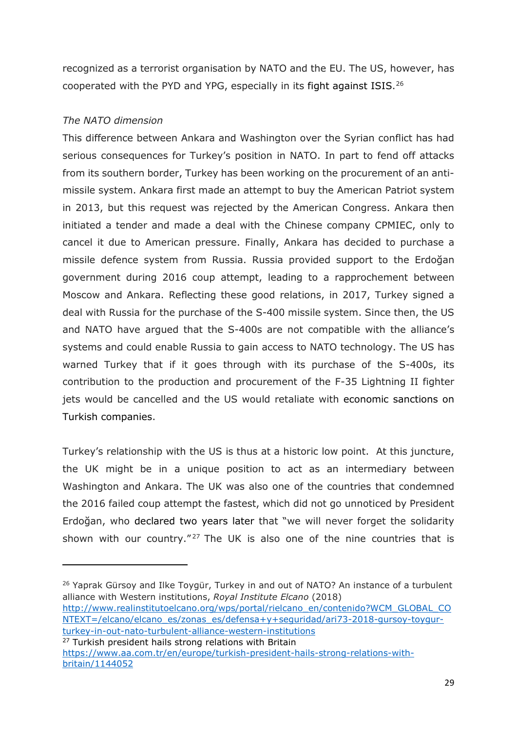recognized as a terrorist organisation by NATO and the EU. The US, however, has cooperated with the PYD and YPG, especially in its fight against ISIS.[26](#page-28-0)

### *The NATO dimension*

**.** 

This difference between Ankara and Washington over the Syrian conflict has had serious consequences for Turkey's position in NATO. In part to fend off attacks from its southern border, Turkey has been working on the procurement of an antimissile system. Ankara first made an attempt to buy the American Patriot system in 2013, but this request was rejected by the American Congress. Ankara then initiated a tender and made a deal with the Chinese company CPMIEC, only to cancel it due to American pressure. Finally, Ankara has decided to purchase a missile defence system from Russia. Russia provided support to the Erdoğan government during 2016 coup attempt, leading to a rapprochement between Moscow and Ankara. Reflecting these good relations, in 2017, Turkey signed a deal with Russia for the purchase of the S-400 missile system. Since then, the US and NATO have argued that the S-400s are not compatible with the alliance's systems and could enable Russia to gain access to NATO technology. The US has warned Turkey that if it goes through with its purchase of the S-400s, its contribution to the production and procurement of the F-35 Lightning II fighter jets would be cancelled and the US would retaliate with economic sanctions on Turkish companies.

Turkey's relationship with the US is thus at a historic low point. At this juncture, the UK might be in a unique position to act as an intermediary between Washington and Ankara. The UK was also one of the countries that condemned the 2016 failed coup attempt the fastest, which did not go unnoticed by President Erdoğan, who declared two years later that "we will never forget the solidarity shown with our country." $27$  The UK is also one of the nine countries that is

[http://www.realinstitutoelcano.org/wps/portal/rielcano\\_en/contenido?WCM\\_GLOBAL\\_CO](http://www.realinstitutoelcano.org/wps/portal/rielcano_en/contenido?WCM_GLOBAL_CONTEXT=/elcano/elcano_es/zonas_es/defensa+y+seguridad/ari73-2018-gursoy-toygur-turkey-in-out-nato-turbulent-alliance-western-institutions) [NTEXT=/elcano/elcano\\_es/zonas\\_es/defensa+y+seguridad/ari73-2018-gursoy-toygur](http://www.realinstitutoelcano.org/wps/portal/rielcano_en/contenido?WCM_GLOBAL_CONTEXT=/elcano/elcano_es/zonas_es/defensa+y+seguridad/ari73-2018-gursoy-toygur-turkey-in-out-nato-turbulent-alliance-western-institutions)[turkey-in-out-nato-turbulent-alliance-western-institutions](http://www.realinstitutoelcano.org/wps/portal/rielcano_en/contenido?WCM_GLOBAL_CONTEXT=/elcano/elcano_es/zonas_es/defensa+y+seguridad/ari73-2018-gursoy-toygur-turkey-in-out-nato-turbulent-alliance-western-institutions)

<span id="page-28-0"></span><sup>&</sup>lt;sup>26</sup> Yaprak Gürsoy and Ilke Toygür, Turkey in and out of NATO? An instance of a turbulent alliance with Western institutions, *Royal Institute Elcano* (2018)

<span id="page-28-1"></span><sup>&</sup>lt;sup>27</sup> Turkish president hails strong relations with Britain [https://www.aa.com.tr/en/europe/turkish-president-hails-strong-relations-with](https://www.aa.com.tr/en/europe/turkish-president-hails-strong-relations-with-britain/1144052)[britain/1144052](https://www.aa.com.tr/en/europe/turkish-president-hails-strong-relations-with-britain/1144052)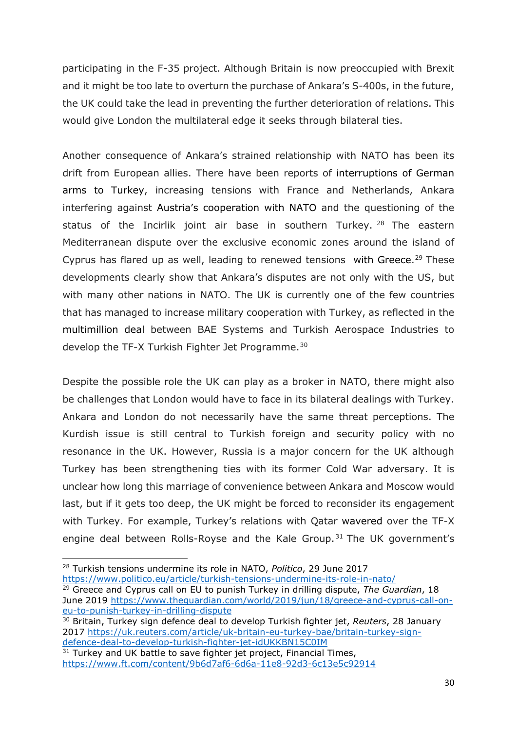participating in the F-35 project. Although Britain is now preoccupied with Brexit and it might be too late to overturn the purchase of Ankara's S-400s, in the future, the UK could take the lead in preventing the further deterioration of relations. This would give London the multilateral edge it seeks through bilateral ties.

Another consequence of Ankara's strained relationship with NATO has been its drift from European allies. There have been reports of interruptions of German arms to Turkey, increasing tensions with France and Netherlands, Ankara interfering against Austria's cooperation with NATO and the questioning of the status of the Incirlik joint air base in southern Turkey.  $28$  The eastern Mediterranean dispute over the exclusive economic zones around the island of Cyprus has flared up as well, leading to renewed tensions with Greece.<sup>[29](#page-29-1)</sup> These developments clearly show that Ankara's disputes are not only with the US, but with many other nations in NATO. The UK is currently one of the few countries that has managed to increase military cooperation with Turkey, as reflected in the multimillion deal between BAE Systems and Turkish Aerospace Industries to develop the TF-X Turkish Fighter Jet Programme.<sup>[30](#page-29-2)</sup>

Despite the possible role the UK can play as a broker in NATO, there might also be challenges that London would have to face in its bilateral dealings with Turkey. Ankara and London do not necessarily have the same threat perceptions. The Kurdish issue is still central to Turkish foreign and security policy with no resonance in the UK. However, Russia is a major concern for the UK although Turkey has been strengthening ties with its former Cold War adversary. It is unclear how long this marriage of convenience between Ankara and Moscow would last, but if it gets too deep, the UK might be forced to reconsider its engagement with Turkey. For example, Turkey's relations with Qatar wavered over the TF-X engine deal between Rolls-Royse and the Kale Group.<sup>[31](#page-29-3)</sup> The UK government's

<span id="page-29-0"></span>**<sup>.</sup>** <sup>28</sup> Turkish tensions undermine its role in NATO, *Politico*, 29 June 2017

<https://www.politico.eu/article/turkish-tensions-undermine-its-role-in-nato/>

<span id="page-29-1"></span><sup>29</sup> Greece and Cyprus call on EU to punish Turkey in drilling dispute, *The Guardian*, 18 June 2019 [https://www.theguardian.com/world/2019/jun/18/greece-and-cyprus-call-on](https://www.theguardian.com/world/2019/jun/18/greece-and-cyprus-call-on-eu-to-punish-turkey-in-drilling-dispute)[eu-to-punish-turkey-in-drilling-dispute](https://www.theguardian.com/world/2019/jun/18/greece-and-cyprus-call-on-eu-to-punish-turkey-in-drilling-dispute)

<span id="page-29-2"></span><sup>30</sup> Britain, Turkey sign defence deal to develop Turkish fighter jet, *Reuters*, 28 January 2017 https://uk.reuters.com/article/uk-britain-eu-turkey-bae/britain-turkey-sign-<br>defence-deal-to-develop-turkish-fighter-jet-idUKKBN15C0IM

<span id="page-29-3"></span> $\frac{31}{31}$  Turkey and UK battle to save fighter jet project, Financial Times, <https://www.ft.com/content/9b6d7af6-6d6a-11e8-92d3-6c13e5c92914>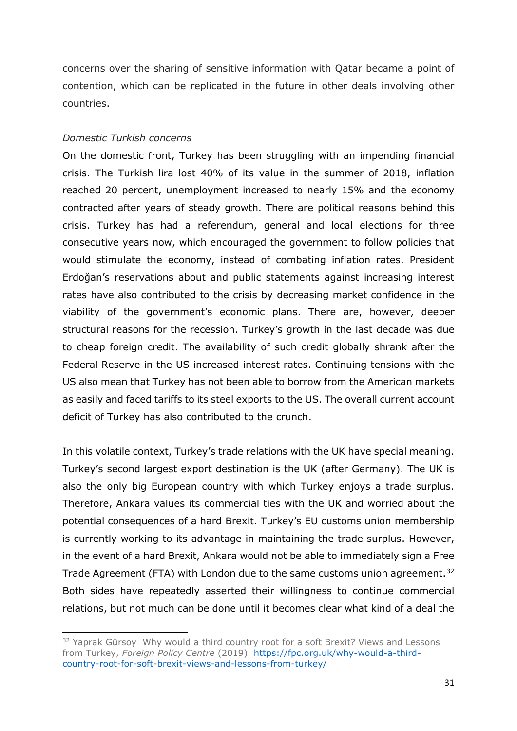concerns over the sharing of sensitive information with Qatar became a point of contention, which can be replicated in the future in other deals involving other countries.

#### *Domestic Turkish concerns*

**.** 

On the domestic front, Turkey has been struggling with an impending financial crisis. The Turkish lira lost 40% of its value in the summer of 2018, inflation reached 20 percent, unemployment increased to nearly 15% and the economy contracted after years of steady growth. There are political reasons behind this crisis. Turkey has had a referendum, general and local elections for three consecutive years now, which encouraged the government to follow policies that would stimulate the economy, instead of combating inflation rates. President Erdoğan's reservations about and public statements against increasing interest rates have also contributed to the crisis by decreasing market confidence in the viability of the government's economic plans. There are, however, deeper structural reasons for the recession. Turkey's growth in the last decade was due to cheap foreign credit. The availability of such credit globally shrank after the Federal Reserve in the US increased interest rates. Continuing tensions with the US also mean that Turkey has not been able to borrow from the American markets as easily and faced tariffs to its steel exports to the US. The overall current account deficit of Turkey has also contributed to the crunch.

In this volatile context, Turkey's trade relations with the UK have special meaning. Turkey's second largest export destination is the UK (after Germany). The UK is also the only big European country with which Turkey enjoys a trade surplus. Therefore, Ankara values its commercial ties with the UK and worried about the potential consequences of a hard Brexit. Turkey's EU customs union membership is currently working to its advantage in maintaining the trade surplus. However, in the event of a hard Brexit, Ankara would not be able to immediately sign a Free Trade Agreement (FTA) with London due to the same customs union agreement.<sup>[32](#page-30-0)</sup> Both sides have repeatedly asserted their willingness to continue commercial relations, but not much can be done until it becomes clear what kind of a deal the

<span id="page-30-0"></span><sup>&</sup>lt;sup>32</sup> Yaprak Gürsoy Why would a third country root for a soft Brexit? Views and Lessons from Turkey, *Foreign Policy Centre* (2019) [https://fpc.org.uk/why-would-a-third](https://fpc.org.uk/why-would-a-third-country-root-for-soft-brexit-views-and-lessons-from-turkey/)[country-root-for-soft-brexit-views-and-lessons-from-turkey/](https://fpc.org.uk/why-would-a-third-country-root-for-soft-brexit-views-and-lessons-from-turkey/)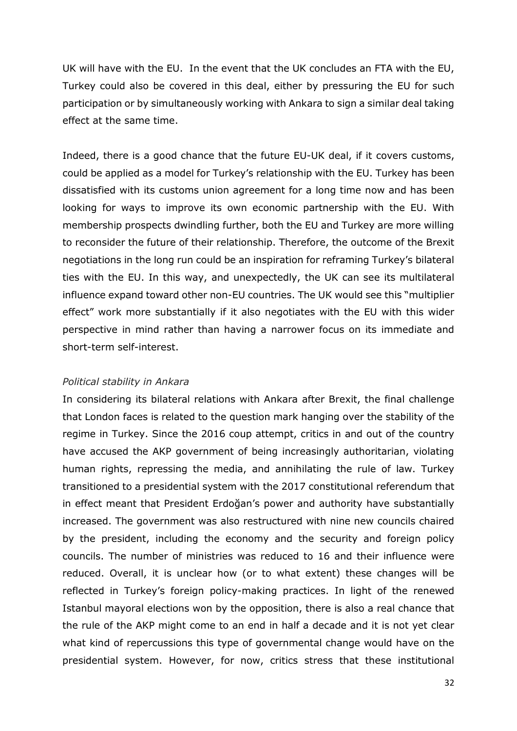UK will have with the EU. In the event that the UK concludes an FTA with the EU, Turkey could also be covered in this deal, either by pressuring the EU for such participation or by simultaneously working with Ankara to sign a similar deal taking effect at the same time.

Indeed, there is a good chance that the future EU-UK deal, if it covers customs, could be applied as a model for Turkey's relationship with the EU. Turkey has been dissatisfied with its customs union agreement for a long time now and has been looking for ways to improve its own economic partnership with the EU. With membership prospects dwindling further, both the EU and Turkey are more willing to reconsider the future of their relationship. Therefore, the outcome of the Brexit negotiations in the long run could be an inspiration for reframing Turkey's bilateral ties with the EU. In this way, and unexpectedly, the UK can see its multilateral influence expand toward other non-EU countries. The UK would see this "multiplier effect" work more substantially if it also negotiates with the EU with this wider perspective in mind rather than having a narrower focus on its immediate and short-term self-interest.

#### *Political stability in Ankara*

In considering its bilateral relations with Ankara after Brexit, the final challenge that London faces is related to the question mark hanging over the stability of the regime in Turkey. Since the 2016 coup attempt, critics in and out of the country have accused the AKP government of being increasingly authoritarian, violating human rights, repressing the media, and annihilating the rule of law. Turkey transitioned to a presidential system with the 2017 constitutional referendum that in effect meant that President Erdoğan's power and authority have substantially increased. The government was also restructured with nine new councils chaired by the president, including the economy and the security and foreign policy councils. The number of ministries was reduced to 16 and their influence were reduced. Overall, it is unclear how (or to what extent) these changes will be reflected in Turkey's foreign policy-making practices. In light of the renewed Istanbul mayoral elections won by the opposition, there is also a real chance that the rule of the AKP might come to an end in half a decade and it is not yet clear what kind of repercussions this type of governmental change would have on the presidential system. However, for now, critics stress that these institutional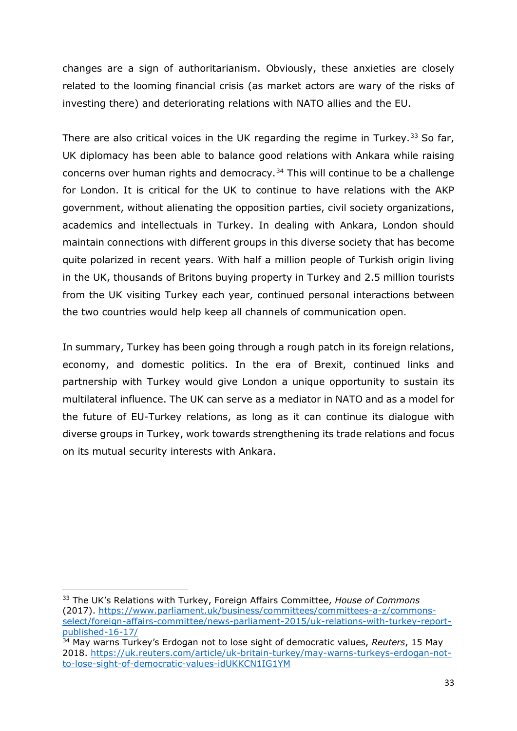changes are a sign of authoritarianism. Obviously, these anxieties are closely related to the looming financial crisis (as market actors are wary of the risks of investing there) and deteriorating relations with NATO allies and the EU.

There are also critical voices in the UK regarding the regime in Turkey.<sup>[33](#page-32-0)</sup> So far, UK diplomacy has been able to balance good relations with Ankara while raising concerns over human rights and democracy.[34](#page-32-1) This will continue to be a challenge for London. It is critical for the UK to continue to have relations with the AKP government, without alienating the opposition parties, civil society organizations, academics and intellectuals in Turkey. In dealing with Ankara, London should maintain connections with different groups in this diverse society that has become quite polarized in recent years. With half a million people of Turkish origin living in the UK, thousands of Britons buying property in Turkey and 2.5 million tourists from the UK visiting Turkey each year, continued personal interactions between the two countries would help keep all channels of communication open.

In summary, Turkey has been going through a rough patch in its foreign relations, economy, and domestic politics. In the era of Brexit, continued links and partnership with Turkey would give London a unique opportunity to sustain its multilateral influence. The UK can serve as a mediator in NATO and as a model for the future of EU-Turkey relations, as long as it can continue its dialogue with diverse groups in Turkey, work towards strengthening its trade relations and focus on its mutual security interests with Ankara.

<u>.</u>

<span id="page-32-0"></span><sup>33</sup> The UK's Relations with Turkey, Foreign Affairs Committee, *House of Commons* (2017). [https://www.parliament.uk/business/committees/committees-a-z/commons](https://www.parliament.uk/business/committees/committees-a-z/commons-select/foreign-affairs-committee/news-parliament-2015/uk-relations-with-turkey-report-published-16-17/)[select/foreign-affairs-committee/news-parliament-2015/uk-relations-with-turkey-report](https://www.parliament.uk/business/committees/committees-a-z/commons-select/foreign-affairs-committee/news-parliament-2015/uk-relations-with-turkey-report-published-16-17/)[published-16-17/](https://www.parliament.uk/business/committees/committees-a-z/commons-select/foreign-affairs-committee/news-parliament-2015/uk-relations-with-turkey-report-published-16-17/) 34 May warns Turkey's Erdogan not to lose sight of democratic values, *Reuters*, 15 May

<span id="page-32-1"></span><sup>2018.</sup> [https://uk.reuters.com/article/uk-britain-turkey/may-warns-turkeys-erdogan-not](https://uk.reuters.com/article/uk-britain-turkey/may-warns-turkeys-erdogan-not-to-lose-sight-of-democratic-values-idUKKCN1IG1YM)[to-lose-sight-of-democratic-values-idUKKCN1IG1YM](https://uk.reuters.com/article/uk-britain-turkey/may-warns-turkeys-erdogan-not-to-lose-sight-of-democratic-values-idUKKCN1IG1YM)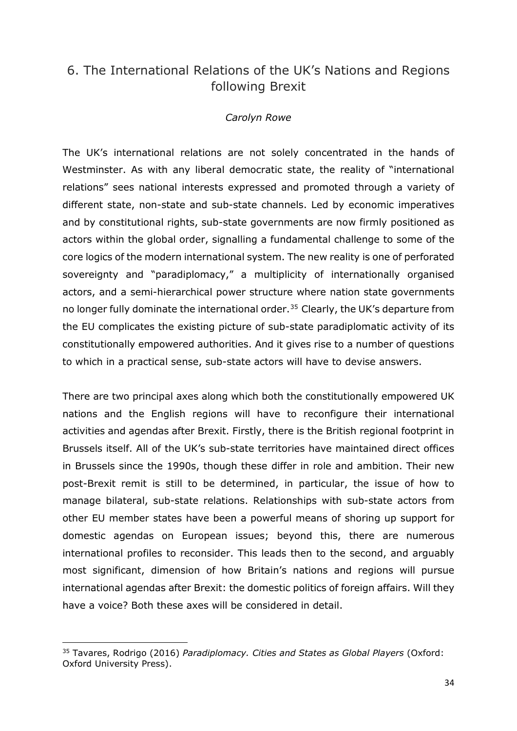## <span id="page-33-0"></span>6. The International Relations of the UK's Nations and Regions following Brexit

#### *Carolyn Rowe*

The UK's international relations are not solely concentrated in the hands of Westminster. As with any liberal democratic state, the reality of "international relations" sees national interests expressed and promoted through a variety of different state, non-state and sub-state channels. Led by economic imperatives and by constitutional rights, sub-state governments are now firmly positioned as actors within the global order, signalling a fundamental challenge to some of the core logics of the modern international system. The new reality is one of perforated sovereignty and "paradiplomacy," a multiplicity of internationally organised actors, and a semi-hierarchical power structure where nation state governments no longer fully dominate the international order.<sup>35</sup> Clearly, the UK's departure from the EU complicates the existing picture of sub-state paradiplomatic activity of its constitutionally empowered authorities. And it gives rise to a number of questions to which in a practical sense, sub-state actors will have to devise answers.

There are two principal axes along which both the constitutionally empowered UK nations and the English regions will have to reconfigure their international activities and agendas after Brexit. Firstly, there is the British regional footprint in Brussels itself. All of the UK's sub-state territories have maintained direct offices in Brussels since the 1990s, though these differ in role and ambition. Their new post-Brexit remit is still to be determined, in particular, the issue of how to manage bilateral, sub-state relations. Relationships with sub-state actors from other EU member states have been a powerful means of shoring up support for domestic agendas on European issues; beyond this, there are numerous international profiles to reconsider. This leads then to the second, and arguably most significant, dimension of how Britain's nations and regions will pursue international agendas after Brexit: the domestic politics of foreign affairs. Will they have a voice? Both these axes will be considered in detail.

<span id="page-33-1"></span><sup>&</sup>lt;u>.</u> <sup>35</sup> Tavares, Rodrigo (2016) *Paradiplomacy. Cities and States as Global Players* (Oxford: Oxford University Press).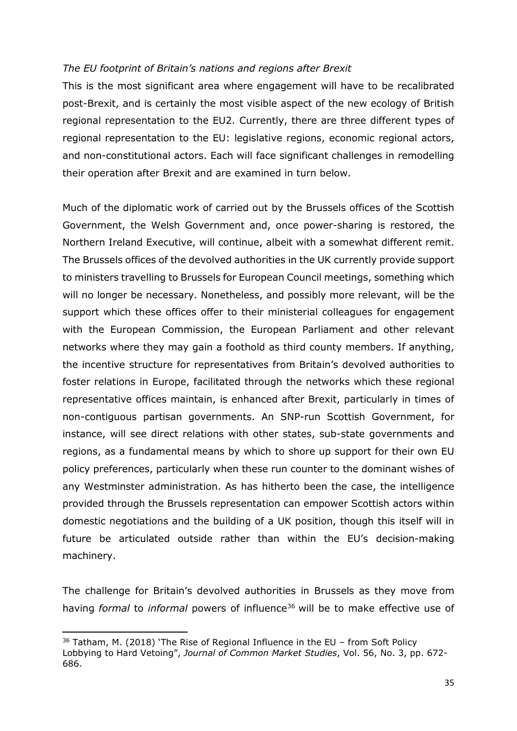#### *The EU footprint of Britain's nations and regions after Brexit*

This is the most significant area where engagement will have to be recalibrated post-Brexit, and is certainly the most visible aspect of the new ecology of British regional representation to the EU2. Currently, there are three different types of regional representation to the EU: legislative regions, economic regional actors, and non-constitutional actors. Each will face significant challenges in remodelling their operation after Brexit and are examined in turn below.

Much of the diplomatic work of carried out by the Brussels offices of the Scottish Government, the Welsh Government and, once power-sharing is restored, the Northern Ireland Executive, will continue, albeit with a somewhat different remit. The Brussels offices of the devolved authorities in the UK currently provide support to ministers travelling to Brussels for European Council meetings, something which will no longer be necessary. Nonetheless, and possibly more relevant, will be the support which these offices offer to their ministerial colleagues for engagement with the European Commission, the European Parliament and other relevant networks where they may gain a foothold as third county members. If anything, the incentive structure for representatives from Britain's devolved authorities to foster relations in Europe, facilitated through the networks which these regional representative offices maintain, is enhanced after Brexit, particularly in times of non-contiguous partisan governments. An SNP-run Scottish Government, for instance, will see direct relations with other states, sub-state governments and regions, as a fundamental means by which to shore up support for their own EU policy preferences, particularly when these run counter to the dominant wishes of any Westminster administration. As has hitherto been the case, the intelligence provided through the Brussels representation can empower Scottish actors within domestic negotiations and the building of a UK position, though this itself will in future be articulated outside rather than within the EU's decision-making machinery.

The challenge for Britain's devolved authorities in Brussels as they move from having *formal* to *informal* powers of influence[36](#page-34-0) will be to make effective use of

<span id="page-34-0"></span><sup>36</sup> Tatham, M. (2018) 'The Rise of Regional Influence in the EU – from Soft Policy Lobbying to Hard Vetoing", *Journal of Common Market Studies*, Vol. 56, No. 3, pp. 672- 686.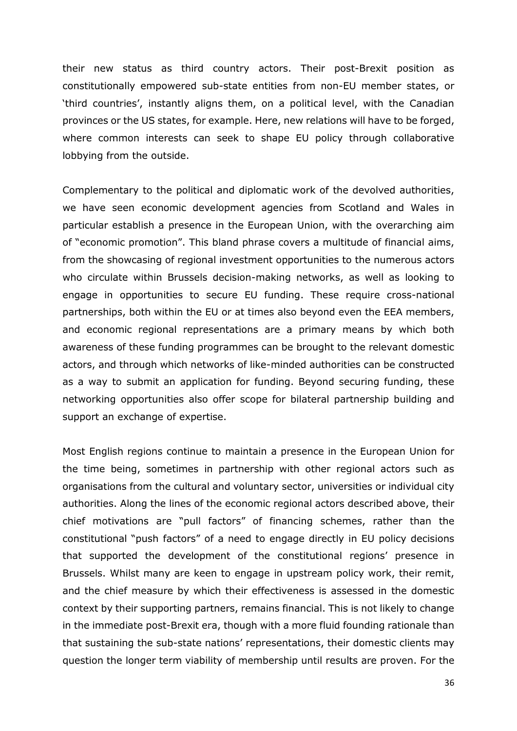their new status as third country actors. Their post-Brexit position as constitutionally empowered sub-state entities from non-EU member states, or 'third countries', instantly aligns them, on a political level, with the Canadian provinces or the US states, for example. Here, new relations will have to be forged, where common interests can seek to shape EU policy through collaborative lobbying from the outside.

Complementary to the political and diplomatic work of the devolved authorities, we have seen economic development agencies from Scotland and Wales in particular establish a presence in the European Union, with the overarching aim of "economic promotion". This bland phrase covers a multitude of financial aims, from the showcasing of regional investment opportunities to the numerous actors who circulate within Brussels decision-making networks, as well as looking to engage in opportunities to secure EU funding. These require cross-national partnerships, both within the EU or at times also beyond even the EEA members, and economic regional representations are a primary means by which both awareness of these funding programmes can be brought to the relevant domestic actors, and through which networks of like-minded authorities can be constructed as a way to submit an application for funding. Beyond securing funding, these networking opportunities also offer scope for bilateral partnership building and support an exchange of expertise.

Most English regions continue to maintain a presence in the European Union for the time being, sometimes in partnership with other regional actors such as organisations from the cultural and voluntary sector, universities or individual city authorities. Along the lines of the economic regional actors described above, their chief motivations are "pull factors" of financing schemes, rather than the constitutional "push factors" of a need to engage directly in EU policy decisions that supported the development of the constitutional regions' presence in Brussels. Whilst many are keen to engage in upstream policy work, their remit, and the chief measure by which their effectiveness is assessed in the domestic context by their supporting partners, remains financial. This is not likely to change in the immediate post-Brexit era, though with a more fluid founding rationale than that sustaining the sub-state nations' representations, their domestic clients may question the longer term viability of membership until results are proven. For the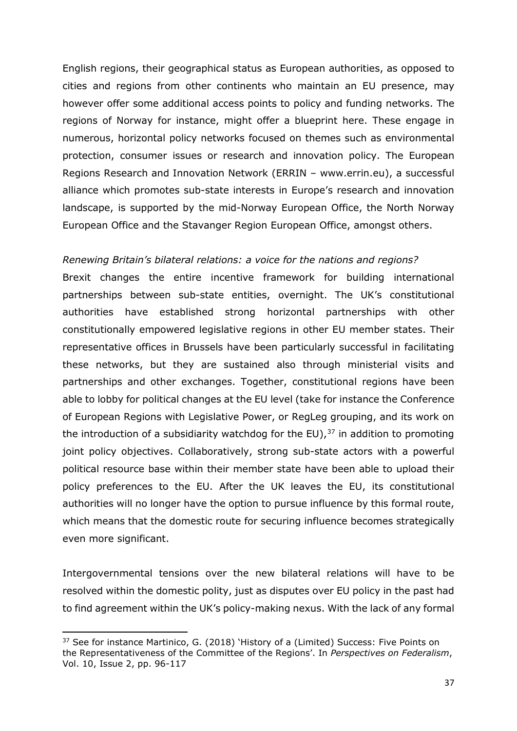English regions, their geographical status as European authorities, as opposed to cities and regions from other continents who maintain an EU presence, may however offer some additional access points to policy and funding networks. The regions of Norway for instance, might offer a blueprint here. These engage in numerous, horizontal policy networks focused on themes such as environmental protection, consumer issues or research and innovation policy. The European Regions Research and Innovation Network (ERRIN – www.errin.eu), a successful alliance which promotes sub-state interests in Europe's research and innovation landscape, is supported by the mid-Norway European Office, the North Norway European Office and the Stavanger Region European Office, amongst others.

#### *Renewing Britain's bilateral relations: a voice for the nations and regions?*

Brexit changes the entire incentive framework for building international partnerships between sub-state entities, overnight. The UK's constitutional authorities have established strong horizontal partnerships with other constitutionally empowered legislative regions in other EU member states. Their representative offices in Brussels have been particularly successful in facilitating these networks, but they are sustained also through ministerial visits and partnerships and other exchanges. Together, constitutional regions have been able to lobby for political changes at the EU level (take for instance the Conference of European Regions with Legislative Power, or RegLeg grouping, and its work on the introduction of a subsidiarity watchdog for the EU), $37$  in addition to promoting joint policy objectives. Collaboratively, strong sub-state actors with a powerful political resource base within their member state have been able to upload their policy preferences to the EU. After the UK leaves the EU, its constitutional authorities will no longer have the option to pursue influence by this formal route, which means that the domestic route for securing influence becomes strategically even more significant.

Intergovernmental tensions over the new bilateral relations will have to be resolved within the domestic polity, just as disputes over EU policy in the past had to find agreement within the UK's policy-making nexus. With the lack of any formal

<span id="page-36-0"></span><sup>&</sup>lt;sup>37</sup> See for instance Martinico, G. (2018) 'History of a (Limited) Success: Five Points on the Representativeness of the Committee of the Regions'. In *Perspectives on Federalism*, Vol. 10, Issue 2, pp. 96-117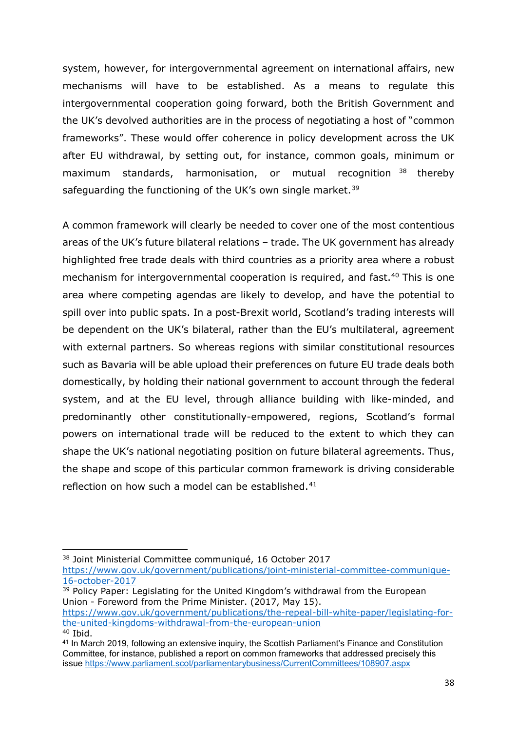system, however, for intergovernmental agreement on international affairs, new mechanisms will have to be established. As a means to regulate this intergovernmental cooperation going forward, both the British Government and the UK's devolved authorities are in the process of negotiating a host of "common frameworks". These would offer coherence in policy development across the UK after EU withdrawal, by setting out, for instance, common goals, minimum or maximum standards, harmonisation, or mutual recognition [38](#page-37-0) thereby safeguarding the functioning of the UK's own single market.<sup>[39](#page-37-1)</sup>

A common framework will clearly be needed to cover one of the most contentious areas of the UK's future bilateral relations – trade. The UK government has already highlighted free trade deals with third countries as a priority area where a robust mechanism for intergovernmental cooperation is required, and fast.<sup>[40](#page-37-2)</sup> This is one area where competing agendas are likely to develop, and have the potential to spill over into public spats. In a post-Brexit world, Scotland's trading interests will be dependent on the UK's bilateral, rather than the EU's multilateral, agreement with external partners. So whereas regions with similar constitutional resources such as Bavaria will be able upload their preferences on future EU trade deals both domestically, by holding their national government to account through the federal system, and at the EU level, through alliance building with like-minded, and predominantly other constitutionally-empowered, regions, Scotland's formal powers on international trade will be reduced to the extent to which they can shape the UK's national negotiating position on future bilateral agreements. Thus, the shape and scope of this particular common framework is driving considerable reflection on how such a model can be established.<sup>[41](#page-37-3)</sup>

 $\overline{a}$ 

<span id="page-37-0"></span><sup>38</sup> Joint Ministerial Committee communiqué, 16 October 2017 [https://www.gov.uk/government/publications/joint-ministerial-committee-communique-](https://www.gov.uk/government/publications/joint-ministerial-committee-communique-16-october-2017)[16-october-2017](https://www.gov.uk/government/publications/joint-ministerial-committee-communique-16-october-2017)

<span id="page-37-1"></span><sup>&</sup>lt;sup>39</sup> Policy Paper: Legislating for the United Kingdom's withdrawal from the European Union - Foreword from the Prime Minister. (2017, May 15). [https://www.gov.uk/government/publications/the-repeal-bill-white-paper/legislating-for](https://www.gov.uk/government/publications/the-repeal-bill-white-paper/legislating-for-the-united-kingdoms-withdrawal-from-the-european-union)[the-united-kingdoms-withdrawal-from-the-european-union](https://www.gov.uk/government/publications/the-repeal-bill-white-paper/legislating-for-the-united-kingdoms-withdrawal-from-the-european-union)  $40$  Ibid.

<span id="page-37-3"></span><span id="page-37-2"></span><sup>&</sup>lt;sup>41</sup> In March 2019, following an extensive inquiry, the Scottish Parliament's Finance and Constitution Committee, for instance, published a report on common frameworks that addressed precisely this issue<https://www.parliament.scot/parliamentarybusiness/CurrentCommittees/108907.aspx>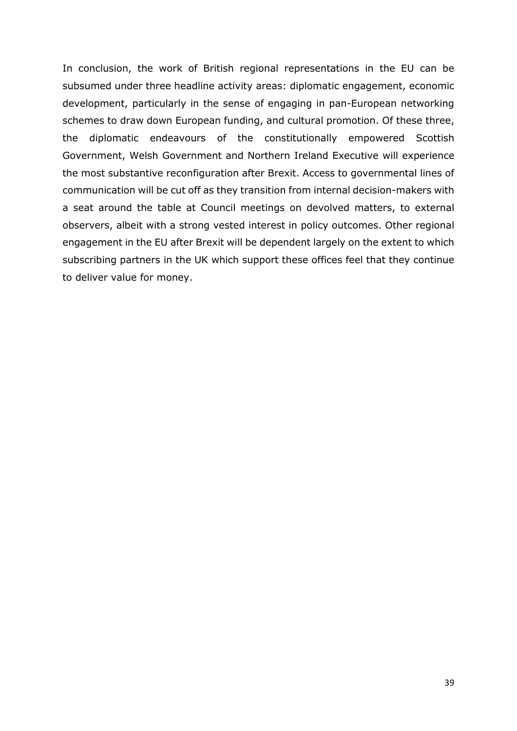In conclusion, the work of British regional representations in the EU can be subsumed under three headline activity areas: diplomatic engagement, economic development, particularly in the sense of engaging in pan-European networking schemes to draw down European funding, and cultural promotion. Of these three, the diplomatic endeavours of the constitutionally empowered Scottish Government, Welsh Government and Northern Ireland Executive will experience the most substantive reconfiguration after Brexit. Access to governmental lines of communication will be cut off as they transition from internal decision-makers with a seat around the table at Council meetings on devolved matters, to external observers, albeit with a strong vested interest in policy outcomes. Other regional engagement in the EU after Brexit will be dependent largely on the extent to which subscribing partners in the UK which support these offices feel that they continue to deliver value for money.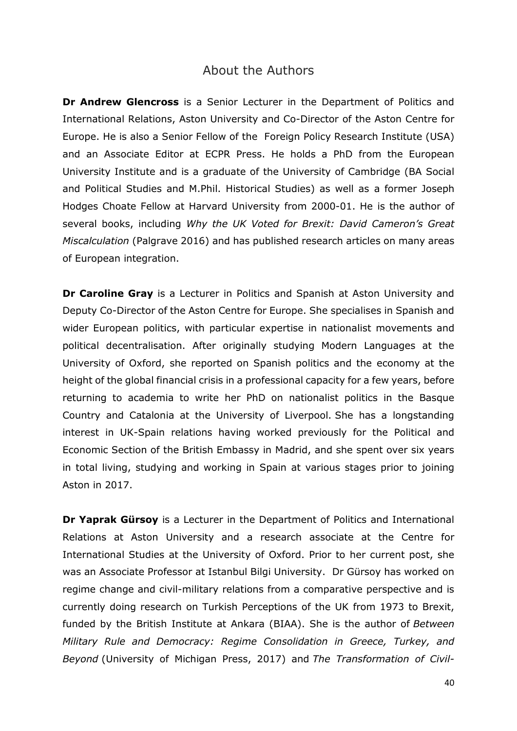### About the Authors

<span id="page-39-0"></span>**Dr Andrew Glencross** is a Senior Lecturer in the Department of Politics and International Relations, Aston University and Co-Director of the Aston Centre for Europe. He is also a Senior Fellow of the Foreign Policy Research Institute (USA) and an Associate Editor at ECPR Press. He holds a PhD from the European University Institute and is a graduate of the University of Cambridge (BA Social and Political Studies and M.Phil. Historical Studies) as well as a former Joseph Hodges Choate Fellow at Harvard University from 2000-01. He is the author of several books, including *Why the UK Voted for Brexit: David Cameron's Great Miscalculation* (Palgrave 2016) and has published research articles on many areas of European integration.

**Dr Caroline Gray** is a Lecturer in Politics and Spanish at Aston University and Deputy Co-Director of the Aston Centre for Europe. She specialises in Spanish and wider European politics, with particular expertise in nationalist movements and political decentralisation. After originally studying Modern Languages at the University of Oxford, she reported on Spanish politics and the economy at the height of the global financial crisis in a professional capacity for a few years, before returning to academia to write her PhD on nationalist politics in the Basque Country and Catalonia at the University of Liverpool. She has a longstanding interest in UK-Spain relations having worked previously for the Political and Economic Section of the British Embassy in Madrid, and she spent over six years in total living, studying and working in Spain at various stages prior to joining Aston in 2017.

**Dr Yaprak Gürsoy** is a Lecturer in the Department of Politics and International Relations at Aston University and a research associate at the Centre for International Studies at the University of Oxford. Prior to her current post, she was an Associate Professor at Istanbul Bilgi University. Dr Gürsoy has worked on regime change and civil-military relations from a comparative perspective and is currently doing research on Turkish Perceptions of the UK from 1973 to Brexit, funded by the British Institute at Ankara (BIAA). She is the author of *Between Military Rule and Democracy: Regime Consolidation in Greece, Turkey, and Beyond* (University of Michigan Press, 2017) and *The Transformation of Civil-*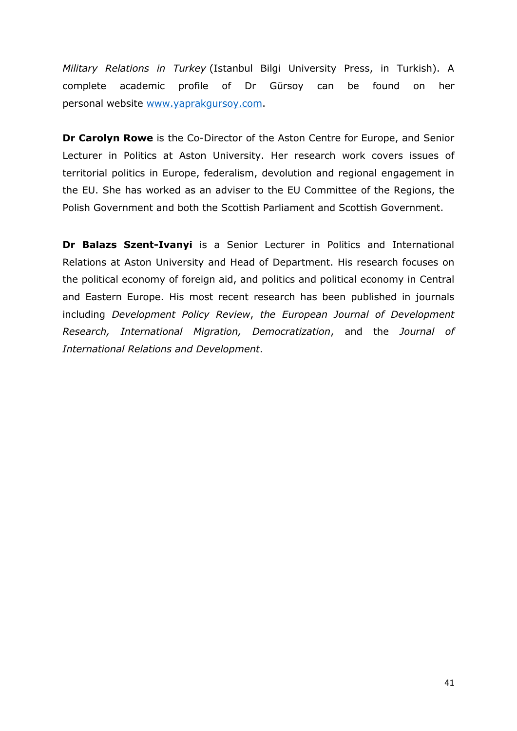*Military Relations in Turkey* (Istanbul Bilgi University Press, in Turkish). A complete academic profile of Dr Gürsoy can be found on her personal website [www.yaprakgursoy.com.](https://eur02.safelinks.protection.outlook.com/?url=http%3A%2F%2Fwww.yaprakgursoy.com%2F&data=02%7C01%7Ca.glencross%40aston.ac.uk%7C7d68b69192a3404b442608d6a92ea3a9%7Ca085950c4c2544d5945ab852fa44a221%7C0%7C0%7C636882415116657196&sdata=vvygiMUzCOviedPPMhUoZqrOIGZndxh%2FOOmvq5DagYo%3D&reserved=0)

**Dr Carolyn Rowe** is the Co-Director of the Aston Centre for Europe, and Senior Lecturer in Politics at Aston University. Her research work covers issues of territorial politics in Europe, federalism, devolution and regional engagement in the EU. She has worked as an adviser to the EU Committee of the Regions, the Polish Government and both the Scottish Parliament and Scottish Government.

**Dr Balazs Szent-Ivanyi** is a Senior Lecturer in Politics and International Relations at Aston University and Head of Department. His research focuses on the political economy of foreign aid, and politics and political economy in Central and Eastern Europe. His most recent research has been published in journals including *Development Policy Review*, *the European Journal of Development Research, International Migration, Democratization*, and the *Journal of International Relations and Development*.